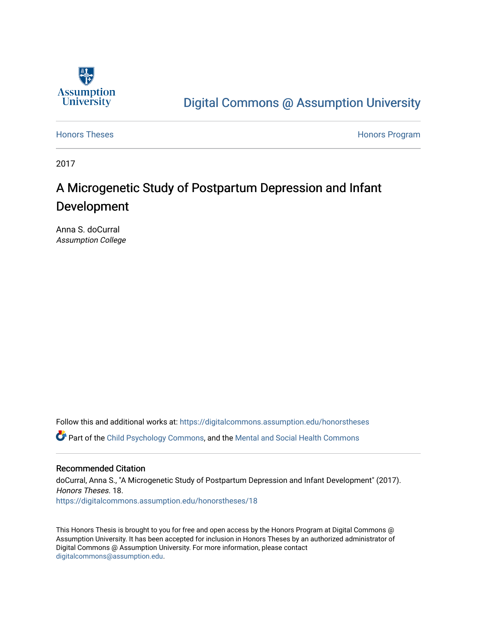

# [Digital Commons @ Assumption University](https://digitalcommons.assumption.edu/)

[Honors Theses](https://digitalcommons.assumption.edu/honorstheses) **Honors** Program

2017

# A Microgenetic Study of Postpartum Depression and Infant Development

Anna S. doCurral Assumption College

Follow this and additional works at: [https://digitalcommons.assumption.edu/honorstheses](https://digitalcommons.assumption.edu/honorstheses?utm_source=digitalcommons.assumption.edu%2Fhonorstheses%2F18&utm_medium=PDF&utm_campaign=PDFCoverPages)

Part of the [Child Psychology Commons,](http://network.bepress.com/hgg/discipline/1023?utm_source=digitalcommons.assumption.edu%2Fhonorstheses%2F18&utm_medium=PDF&utm_campaign=PDFCoverPages) and the [Mental and Social Health Commons](http://network.bepress.com/hgg/discipline/709?utm_source=digitalcommons.assumption.edu%2Fhonorstheses%2F18&utm_medium=PDF&utm_campaign=PDFCoverPages)

### Recommended Citation

doCurral, Anna S., "A Microgenetic Study of Postpartum Depression and Infant Development" (2017). Honors Theses. 18. [https://digitalcommons.assumption.edu/honorstheses/18](https://digitalcommons.assumption.edu/honorstheses/18?utm_source=digitalcommons.assumption.edu%2Fhonorstheses%2F18&utm_medium=PDF&utm_campaign=PDFCoverPages) 

This Honors Thesis is brought to you for free and open access by the Honors Program at Digital Commons @ Assumption University. It has been accepted for inclusion in Honors Theses by an authorized administrator of Digital Commons @ Assumption University. For more information, please contact [digitalcommons@assumption.edu](mailto:digitalcommons@assumption.edu).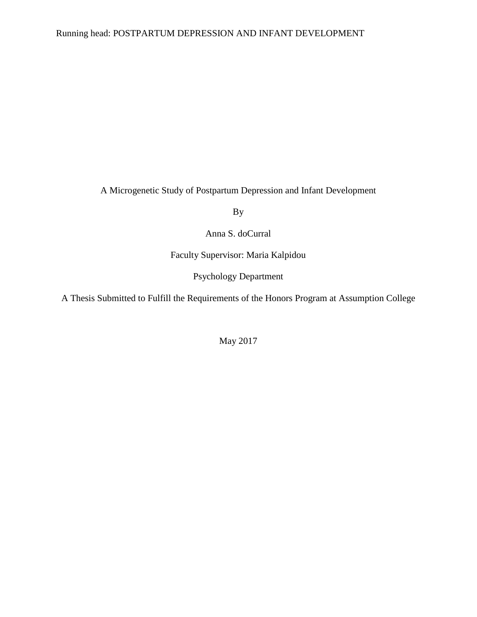### Running head: POSTPARTUM DEPRESSION AND INFANT DEVELOPMENT

A Microgenetic Study of Postpartum Depression and Infant Development

By

Anna S. doCurral

Faculty Supervisor: Maria Kalpidou

Psychology Department

A Thesis Submitted to Fulfill the Requirements of the Honors Program at Assumption College

May 2017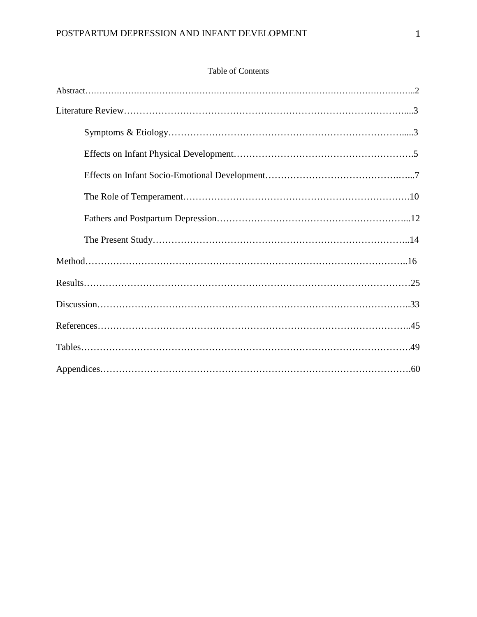| <b>Table of Contents</b> |
|--------------------------|
|--------------------------|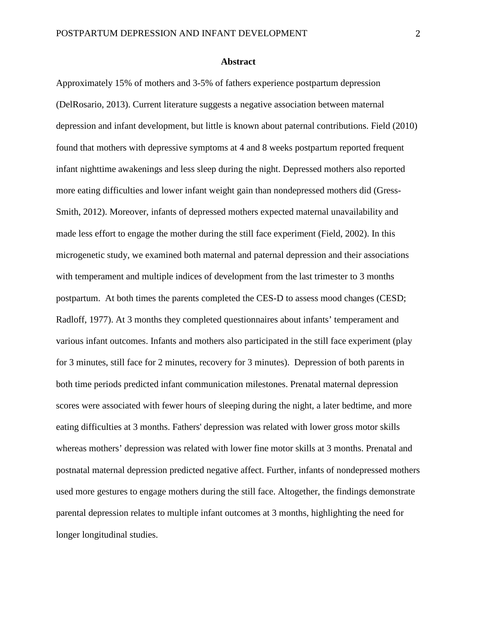#### **Abstract**

Approximately 15% of mothers and 3-5% of fathers experience postpartum depression (DelRosario, 2013). Current literature suggests a negative association between maternal depression and infant development, but little is known about paternal contributions. Field (2010) found that mothers with depressive symptoms at 4 and 8 weeks postpartum reported frequent infant nighttime awakenings and less sleep during the night. Depressed mothers also reported more eating difficulties and lower infant weight gain than nondepressed mothers did (Gress-Smith, 2012). Moreover, infants of depressed mothers expected maternal unavailability and made less effort to engage the mother during the still face experiment (Field, 2002). In this microgenetic study, we examined both maternal and paternal depression and their associations with temperament and multiple indices of development from the last trimester to 3 months postpartum. At both times the parents completed the CES-D to assess mood changes (CESD; Radloff, 1977). At 3 months they completed questionnaires about infants' temperament and various infant outcomes. Infants and mothers also participated in the still face experiment (play for 3 minutes, still face for 2 minutes, recovery for 3 minutes). Depression of both parents in both time periods predicted infant communication milestones. Prenatal maternal depression scores were associated with fewer hours of sleeping during the night, a later bedtime, and more eating difficulties at 3 months. Fathers' depression was related with lower gross motor skills whereas mothers' depression was related with lower fine motor skills at 3 months. Prenatal and postnatal maternal depression predicted negative affect. Further, infants of nondepressed mothers used more gestures to engage mothers during the still face. Altogether, the findings demonstrate parental depression relates to multiple infant outcomes at 3 months, highlighting the need for longer longitudinal studies.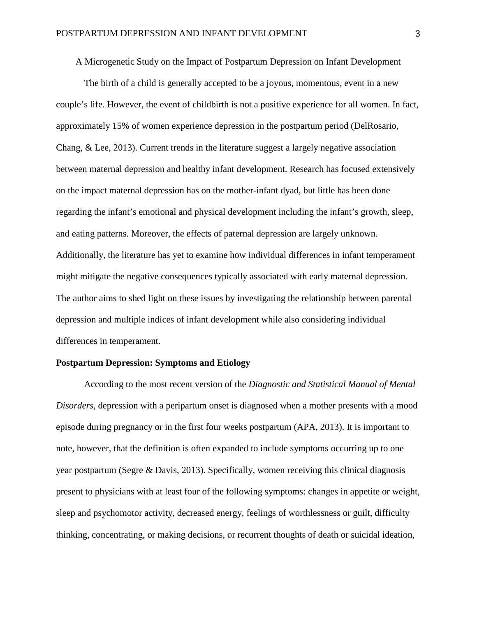A Microgenetic Study on the Impact of Postpartum Depression on Infant Development

The birth of a child is generally accepted to be a joyous, momentous, event in a new couple's life. However, the event of childbirth is not a positive experience for all women. In fact, approximately 15% of women experience depression in the postpartum period (DelRosario, Chang, & Lee, 2013). Current trends in the literature suggest a largely negative association between maternal depression and healthy infant development. Research has focused extensively on the impact maternal depression has on the mother-infant dyad, but little has been done regarding the infant's emotional and physical development including the infant's growth, sleep, and eating patterns. Moreover, the effects of paternal depression are largely unknown. Additionally, the literature has yet to examine how individual differences in infant temperament might mitigate the negative consequences typically associated with early maternal depression. The author aims to shed light on these issues by investigating the relationship between parental depression and multiple indices of infant development while also considering individual differences in temperament.

#### **Postpartum Depression: Symptoms and Etiology**

According to the most recent version of the *Diagnostic and Statistical Manual of Mental Disorders,* depression with a peripartum onset is diagnosed when a mother presents with a mood episode during pregnancy or in the first four weeks postpartum (APA, 2013). It is important to note, however, that the definition is often expanded to include symptoms occurring up to one year postpartum (Segre & Davis, 2013). Specifically, women receiving this clinical diagnosis present to physicians with at least four of the following symptoms: changes in appetite or weight, sleep and psychomotor activity, decreased energy, feelings of worthlessness or guilt, difficulty thinking, concentrating, or making decisions, or recurrent thoughts of death or suicidal ideation,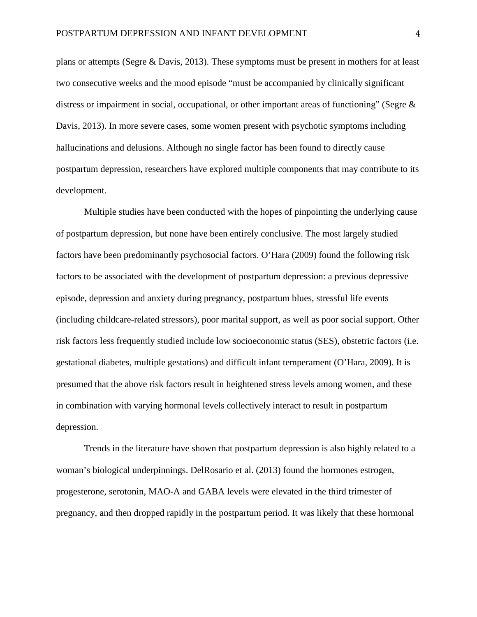plans or attempts (Segre & Davis, 2013). These symptoms must be present in mothers for at least two consecutive weeks and the mood episode "must be accompanied by clinically significant distress or impairment in social, occupational, or other important areas of functioning" (Segre  $\&$ Davis, 2013). In more severe cases, some women present with psychotic symptoms including hallucinations and delusions. Although no single factor has been found to directly cause postpartum depression, researchers have explored multiple components that may contribute to its development.

Multiple studies have been conducted with the hopes of pinpointing the underlying cause of postpartum depression, but none have been entirely conclusive. The most largely studied factors have been predominantly psychosocial factors. O'Hara (2009) found the following risk factors to be associated with the development of postpartum depression: a previous depressive episode, depression and anxiety during pregnancy, postpartum blues, stressful life events (including childcare-related stressors), poor marital support, as well as poor social support. Other risk factors less frequently studied include low socioeconomic status (SES), obstetric factors (i.e. gestational diabetes, multiple gestations) and difficult infant temperament (O'Hara, 2009). It is presumed that the above risk factors result in heightened stress levels among women, and these in combination with varying hormonal levels collectively interact to result in postpartum depression.

Trends in the literature have shown that postpartum depression is also highly related to a woman's biological underpinnings. DelRosario et al. (2013) found the hormones estrogen, progesterone, serotonin, MAO-A and GABA levels were elevated in the third trimester of pregnancy, and then dropped rapidly in the postpartum period. It was likely that these hormonal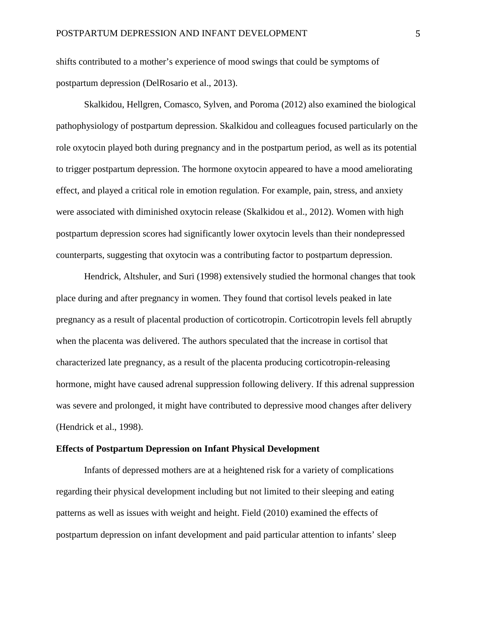shifts contributed to a mother's experience of mood swings that could be symptoms of postpartum depression (DelRosario et al., 2013).

Skalkidou, Hellgren, Comasco, Sylven, and Poroma (2012) also examined the biological pathophysiology of postpartum depression. Skalkidou and colleagues focused particularly on the role oxytocin played both during pregnancy and in the postpartum period, as well as its potential to trigger postpartum depression. The hormone oxytocin appeared to have a mood ameliorating effect, and played a critical role in emotion regulation. For example, pain, stress, and anxiety were associated with diminished oxytocin release (Skalkidou et al., 2012). Women with high postpartum depression scores had significantly lower oxytocin levels than their nondepressed counterparts, suggesting that oxytocin was a contributing factor to postpartum depression.

Hendrick, Altshuler, and Suri (1998) extensively studied the hormonal changes that took place during and after pregnancy in women. They found that cortisol levels peaked in late pregnancy as a result of placental production of corticotropin. Corticotropin levels fell abruptly when the placenta was delivered. The authors speculated that the increase in cortisol that characterized late pregnancy, as a result of the placenta producing corticotropin-releasing hormone, might have caused adrenal suppression following delivery. If this adrenal suppression was severe and prolonged, it might have contributed to depressive mood changes after delivery (Hendrick et al., 1998).

#### **Effects of Postpartum Depression on Infant Physical Development**

Infants of depressed mothers are at a heightened risk for a variety of complications regarding their physical development including but not limited to their sleeping and eating patterns as well as issues with weight and height. Field (2010) examined the effects of postpartum depression on infant development and paid particular attention to infants' sleep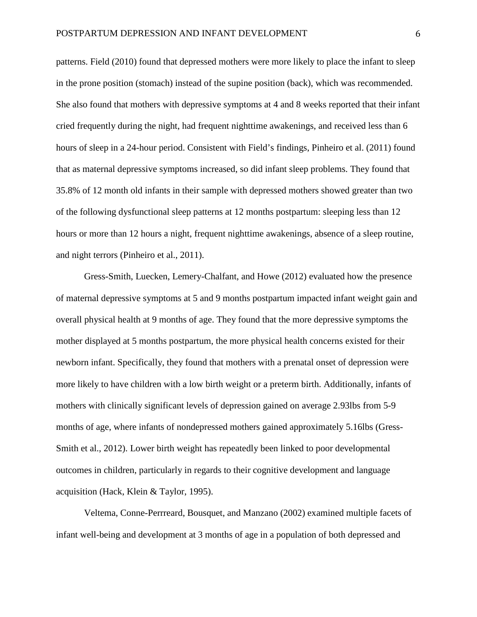patterns. Field (2010) found that depressed mothers were more likely to place the infant to sleep in the prone position (stomach) instead of the supine position (back), which was recommended. She also found that mothers with depressive symptoms at 4 and 8 weeks reported that their infant cried frequently during the night, had frequent nighttime awakenings, and received less than 6 hours of sleep in a 24-hour period. Consistent with Field's findings, Pinheiro et al. (2011) found that as maternal depressive symptoms increased, so did infant sleep problems. They found that 35.8% of 12 month old infants in their sample with depressed mothers showed greater than two of the following dysfunctional sleep patterns at 12 months postpartum: sleeping less than 12 hours or more than 12 hours a night, frequent nighttime awakenings, absence of a sleep routine, and night terrors (Pinheiro et al., 2011).

Gress-Smith, Luecken, Lemery-Chalfant, and Howe (2012) evaluated how the presence of maternal depressive symptoms at 5 and 9 months postpartum impacted infant weight gain and overall physical health at 9 months of age. They found that the more depressive symptoms the mother displayed at 5 months postpartum, the more physical health concerns existed for their newborn infant. Specifically, they found that mothers with a prenatal onset of depression were more likely to have children with a low birth weight or a preterm birth. Additionally, infants of mothers with clinically significant levels of depression gained on average 2.93lbs from 5-9 months of age, where infants of nondepressed mothers gained approximately 5.16lbs (Gress-Smith et al., 2012). Lower birth weight has repeatedly been linked to poor developmental outcomes in children, particularly in regards to their cognitive development and language acquisition (Hack, Klein & Taylor, 1995).

Veltema, Conne-Perrreard, Bousquet, and Manzano (2002) examined multiple facets of infant well-being and development at 3 months of age in a population of both depressed and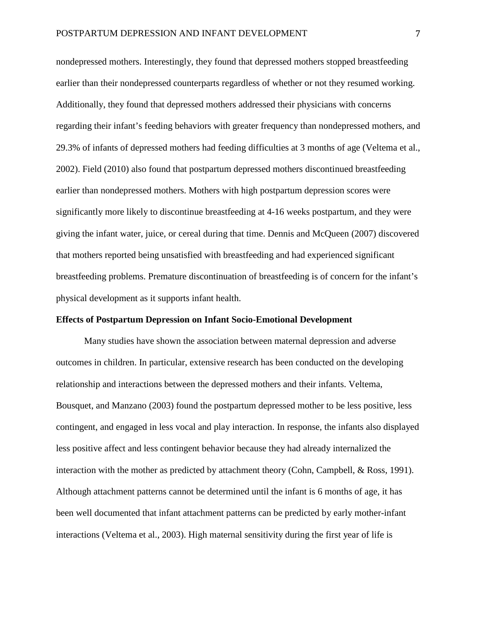nondepressed mothers. Interestingly, they found that depressed mothers stopped breastfeeding earlier than their nondepressed counterparts regardless of whether or not they resumed working. Additionally, they found that depressed mothers addressed their physicians with concerns regarding their infant's feeding behaviors with greater frequency than nondepressed mothers, and 29.3% of infants of depressed mothers had feeding difficulties at 3 months of age (Veltema et al., 2002). Field (2010) also found that postpartum depressed mothers discontinued breastfeeding earlier than nondepressed mothers. Mothers with high postpartum depression scores were significantly more likely to discontinue breastfeeding at 4-16 weeks postpartum, and they were giving the infant water, juice, or cereal during that time. Dennis and McQueen (2007) discovered that mothers reported being unsatisfied with breastfeeding and had experienced significant breastfeeding problems. Premature discontinuation of breastfeeding is of concern for the infant's physical development as it supports infant health.

#### **Effects of Postpartum Depression on Infant Socio-Emotional Development**

Many studies have shown the association between maternal depression and adverse outcomes in children. In particular, extensive research has been conducted on the developing relationship and interactions between the depressed mothers and their infants. Veltema, Bousquet, and Manzano (2003) found the postpartum depressed mother to be less positive, less contingent, and engaged in less vocal and play interaction. In response, the infants also displayed less positive affect and less contingent behavior because they had already internalized the interaction with the mother as predicted by attachment theory (Cohn, Campbell, & Ross, 1991). Although attachment patterns cannot be determined until the infant is 6 months of age, it has been well documented that infant attachment patterns can be predicted by early mother-infant interactions (Veltema et al., 2003). High maternal sensitivity during the first year of life is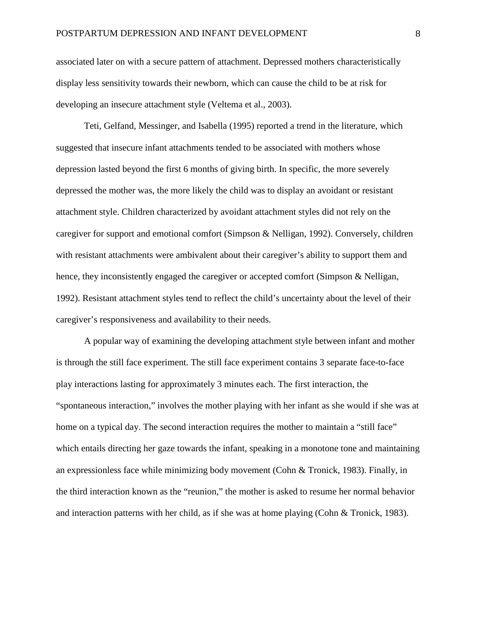associated later on with a secure pattern of attachment. Depressed mothers characteristically display less sensitivity towards their newborn, which can cause the child to be at risk for developing an insecure attachment style (Veltema et al., 2003).

Teti, Gelfand, Messinger, and Isabella (1995) reported a trend in the literature, which suggested that insecure infant attachments tended to be associated with mothers whose depression lasted beyond the first 6 months of giving birth. In specific, the more severely depressed the mother was, the more likely the child was to display an avoidant or resistant attachment style. Children characterized by avoidant attachment styles did not rely on the caregiver for support and emotional comfort (Simpson & Nelligan, 1992). Conversely, children with resistant attachments were ambivalent about their caregiver's ability to support them and hence, they inconsistently engaged the caregiver or accepted comfort (Simpson & Nelligan, 1992). Resistant attachment styles tend to reflect the child's uncertainty about the level of their caregiver's responsiveness and availability to their needs.

A popular way of examining the developing attachment style between infant and mother is through the still face experiment. The still face experiment contains 3 separate face-to-face play interactions lasting for approximately 3 minutes each. The first interaction, the "spontaneous interaction," involves the mother playing with her infant as she would if she was at home on a typical day. The second interaction requires the mother to maintain a "still face" which entails directing her gaze towards the infant, speaking in a monotone tone and maintaining an expressionless face while minimizing body movement (Cohn  $\&$  Tronick, 1983). Finally, in the third interaction known as the "reunion," the mother is asked to resume her normal behavior and interaction patterns with her child, as if she was at home playing (Cohn & Tronick, 1983).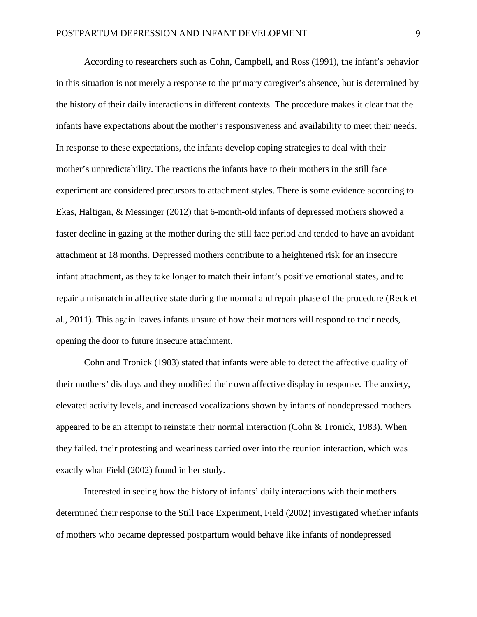According to researchers such as Cohn, Campbell, and Ross (1991), the infant's behavior in this situation is not merely a response to the primary caregiver's absence, but is determined by the history of their daily interactions in different contexts. The procedure makes it clear that the infants have expectations about the mother's responsiveness and availability to meet their needs. In response to these expectations, the infants develop coping strategies to deal with their mother's unpredictability. The reactions the infants have to their mothers in the still face experiment are considered precursors to attachment styles. There is some evidence according to Ekas, Haltigan, & Messinger (2012) that 6-month-old infants of depressed mothers showed a faster decline in gazing at the mother during the still face period and tended to have an avoidant attachment at 18 months. Depressed mothers contribute to a heightened risk for an insecure infant attachment, as they take longer to match their infant's positive emotional states, and to repair a mismatch in affective state during the normal and repair phase of the procedure (Reck et al., 2011). This again leaves infants unsure of how their mothers will respond to their needs, opening the door to future insecure attachment.

Cohn and Tronick (1983) stated that infants were able to detect the affective quality of their mothers' displays and they modified their own affective display in response. The anxiety, elevated activity levels, and increased vocalizations shown by infants of nondepressed mothers appeared to be an attempt to reinstate their normal interaction (Cohn & Tronick, 1983). When they failed, their protesting and weariness carried over into the reunion interaction, which was exactly what Field (2002) found in her study.

Interested in seeing how the history of infants' daily interactions with their mothers determined their response to the Still Face Experiment, Field (2002) investigated whether infants of mothers who became depressed postpartum would behave like infants of nondepressed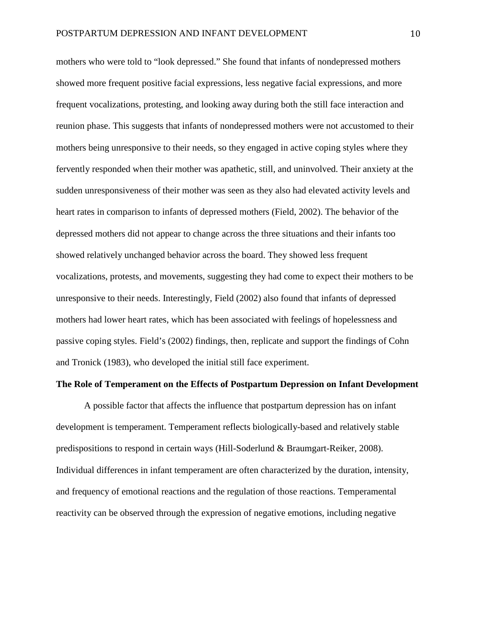mothers who were told to "look depressed." She found that infants of nondepressed mothers showed more frequent positive facial expressions, less negative facial expressions, and more frequent vocalizations, protesting, and looking away during both the still face interaction and reunion phase. This suggests that infants of nondepressed mothers were not accustomed to their mothers being unresponsive to their needs, so they engaged in active coping styles where they fervently responded when their mother was apathetic, still, and uninvolved. Their anxiety at the sudden unresponsiveness of their mother was seen as they also had elevated activity levels and heart rates in comparison to infants of depressed mothers (Field, 2002). The behavior of the depressed mothers did not appear to change across the three situations and their infants too showed relatively unchanged behavior across the board. They showed less frequent vocalizations, protests, and movements, suggesting they had come to expect their mothers to be unresponsive to their needs. Interestingly, Field (2002) also found that infants of depressed mothers had lower heart rates, which has been associated with feelings of hopelessness and passive coping styles. Field's (2002) findings, then, replicate and support the findings of Cohn and Tronick (1983), who developed the initial still face experiment.

#### **The Role of Temperament on the Effects of Postpartum Depression on Infant Development**

A possible factor that affects the influence that postpartum depression has on infant development is temperament. Temperament reflects biologically-based and relatively stable predispositions to respond in certain ways (Hill-Soderlund & Braumgart-Reiker, 2008). Individual differences in infant temperament are often characterized by the duration, intensity, and frequency of emotional reactions and the regulation of those reactions. Temperamental reactivity can be observed through the expression of negative emotions, including negative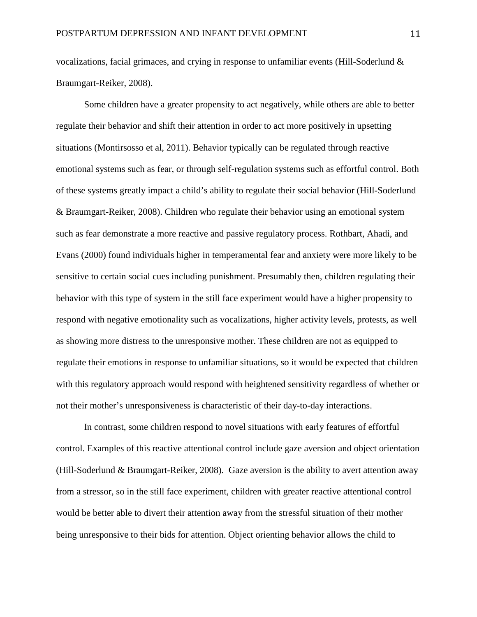vocalizations, facial grimaces, and crying in response to unfamiliar events (Hill-Soderlund & Braumgart-Reiker, 2008).

Some children have a greater propensity to act negatively, while others are able to better regulate their behavior and shift their attention in order to act more positively in upsetting situations (Montirsosso et al, 2011). Behavior typically can be regulated through reactive emotional systems such as fear, or through self-regulation systems such as effortful control. Both of these systems greatly impact a child's ability to regulate their social behavior (Hill-Soderlund & Braumgart-Reiker, 2008). Children who regulate their behavior using an emotional system such as fear demonstrate a more reactive and passive regulatory process. Rothbart, Ahadi, and Evans (2000) found individuals higher in temperamental fear and anxiety were more likely to be sensitive to certain social cues including punishment. Presumably then, children regulating their behavior with this type of system in the still face experiment would have a higher propensity to respond with negative emotionality such as vocalizations, higher activity levels, protests, as well as showing more distress to the unresponsive mother. These children are not as equipped to regulate their emotions in response to unfamiliar situations, so it would be expected that children with this regulatory approach would respond with heightened sensitivity regardless of whether or not their mother's unresponsiveness is characteristic of their day-to-day interactions.

In contrast, some children respond to novel situations with early features of effortful control. Examples of this reactive attentional control include gaze aversion and object orientation (Hill-Soderlund & Braumgart-Reiker, 2008). Gaze aversion is the ability to avert attention away from a stressor, so in the still face experiment, children with greater reactive attentional control would be better able to divert their attention away from the stressful situation of their mother being unresponsive to their bids for attention. Object orienting behavior allows the child to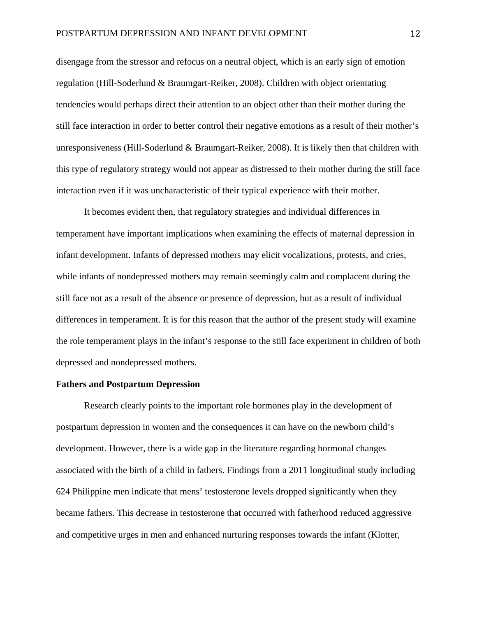disengage from the stressor and refocus on a neutral object, which is an early sign of emotion regulation (Hill-Soderlund & Braumgart-Reiker, 2008). Children with object orientating tendencies would perhaps direct their attention to an object other than their mother during the still face interaction in order to better control their negative emotions as a result of their mother's unresponsiveness (Hill-Soderlund & Braumgart-Reiker, 2008). It is likely then that children with this type of regulatory strategy would not appear as distressed to their mother during the still face interaction even if it was uncharacteristic of their typical experience with their mother.

It becomes evident then, that regulatory strategies and individual differences in temperament have important implications when examining the effects of maternal depression in infant development. Infants of depressed mothers may elicit vocalizations, protests, and cries, while infants of nondepressed mothers may remain seemingly calm and complacent during the still face not as a result of the absence or presence of depression, but as a result of individual differences in temperament. It is for this reason that the author of the present study will examine the role temperament plays in the infant's response to the still face experiment in children of both depressed and nondepressed mothers.

#### **Fathers and Postpartum Depression**

Research clearly points to the important role hormones play in the development of postpartum depression in women and the consequences it can have on the newborn child's development. However, there is a wide gap in the literature regarding hormonal changes associated with the birth of a child in fathers. Findings from a 2011 longitudinal study including 624 Philippine men indicate that mens' testosterone levels dropped significantly when they became fathers. This decrease in testosterone that occurred with fatherhood reduced aggressive and competitive urges in men and enhanced nurturing responses towards the infant (Klotter,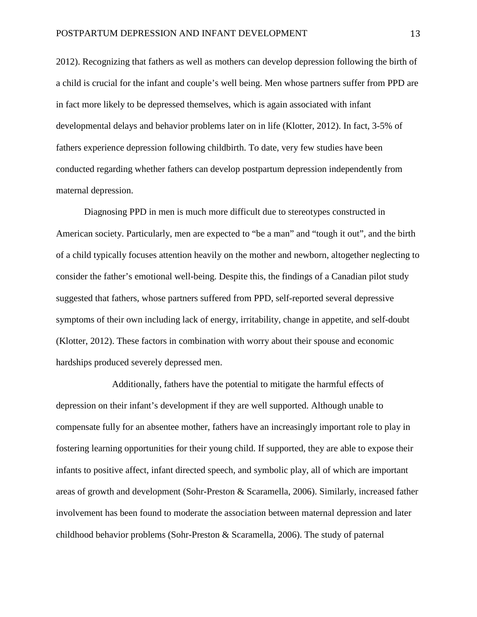2012). Recognizing that fathers as well as mothers can develop depression following the birth of a child is crucial for the infant and couple's well being. Men whose partners suffer from PPD are in fact more likely to be depressed themselves, which is again associated with infant developmental delays and behavior problems later on in life (Klotter, 2012). In fact, 3-5% of fathers experience depression following childbirth. To date, very few studies have been conducted regarding whether fathers can develop postpartum depression independently from maternal depression.

Diagnosing PPD in men is much more difficult due to stereotypes constructed in American society. Particularly, men are expected to "be a man" and "tough it out", and the birth of a child typically focuses attention heavily on the mother and newborn, altogether neglecting to consider the father's emotional well-being. Despite this, the findings of a Canadian pilot study suggested that fathers, whose partners suffered from PPD, self-reported several depressive symptoms of their own including lack of energy, irritability, change in appetite, and self-doubt (Klotter, 2012). These factors in combination with worry about their spouse and economic hardships produced severely depressed men.

Additionally, fathers have the potential to mitigate the harmful effects of depression on their infant's development if they are well supported. Although unable to compensate fully for an absentee mother, fathers have an increasingly important role to play in fostering learning opportunities for their young child. If supported, they are able to expose their infants to positive affect, infant directed speech, and symbolic play, all of which are important areas of growth and development (Sohr-Preston & Scaramella, 2006). Similarly, increased father involvement has been found to moderate the association between maternal depression and later childhood behavior problems (Sohr-Preston & Scaramella, 2006). The study of paternal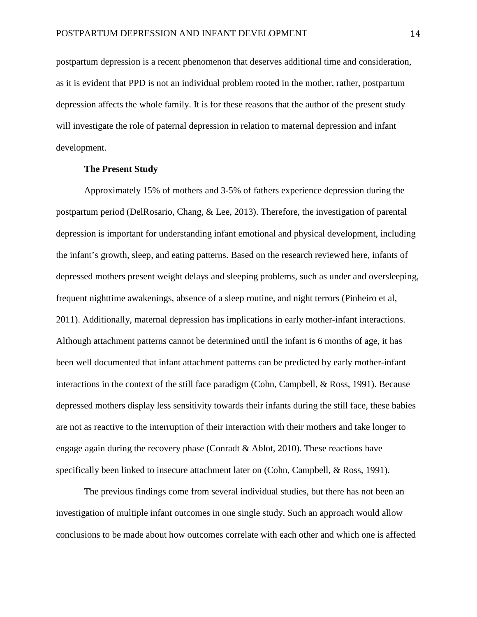postpartum depression is a recent phenomenon that deserves additional time and consideration, as it is evident that PPD is not an individual problem rooted in the mother, rather, postpartum depression affects the whole family. It is for these reasons that the author of the present study will investigate the role of paternal depression in relation to maternal depression and infant development.

#### **The Present Study**

Approximately 15% of mothers and 3-5% of fathers experience depression during the postpartum period (DelRosario, Chang, & Lee, 2013). Therefore, the investigation of parental depression is important for understanding infant emotional and physical development, including the infant's growth, sleep, and eating patterns. Based on the research reviewed here, infants of depressed mothers present weight delays and sleeping problems, such as under and oversleeping, frequent nighttime awakenings, absence of a sleep routine, and night terrors (Pinheiro et al, 2011). Additionally, maternal depression has implications in early mother-infant interactions. Although attachment patterns cannot be determined until the infant is 6 months of age, it has been well documented that infant attachment patterns can be predicted by early mother-infant interactions in the context of the still face paradigm (Cohn, Campbell, & Ross, 1991). Because depressed mothers display less sensitivity towards their infants during the still face, these babies are not as reactive to the interruption of their interaction with their mothers and take longer to engage again during the recovery phase (Conradt & Ablot, 2010). These reactions have specifically been linked to insecure attachment later on (Cohn, Campbell, & Ross, 1991).

The previous findings come from several individual studies, but there has not been an investigation of multiple infant outcomes in one single study. Such an approach would allow conclusions to be made about how outcomes correlate with each other and which one is affected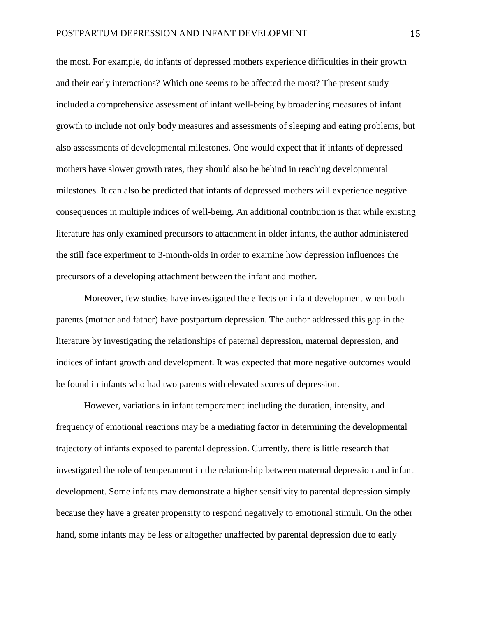the most. For example, do infants of depressed mothers experience difficulties in their growth and their early interactions? Which one seems to be affected the most? The present study included a comprehensive assessment of infant well-being by broadening measures of infant growth to include not only body measures and assessments of sleeping and eating problems, but also assessments of developmental milestones. One would expect that if infants of depressed mothers have slower growth rates, they should also be behind in reaching developmental milestones. It can also be predicted that infants of depressed mothers will experience negative consequences in multiple indices of well-being. An additional contribution is that while existing literature has only examined precursors to attachment in older infants, the author administered the still face experiment to 3-month-olds in order to examine how depression influences the precursors of a developing attachment between the infant and mother.

Moreover, few studies have investigated the effects on infant development when both parents (mother and father) have postpartum depression. The author addressed this gap in the literature by investigating the relationships of paternal depression, maternal depression, and indices of infant growth and development. It was expected that more negative outcomes would be found in infants who had two parents with elevated scores of depression.

However, variations in infant temperament including the duration, intensity, and frequency of emotional reactions may be a mediating factor in determining the developmental trajectory of infants exposed to parental depression. Currently, there is little research that investigated the role of temperament in the relationship between maternal depression and infant development. Some infants may demonstrate a higher sensitivity to parental depression simply because they have a greater propensity to respond negatively to emotional stimuli. On the other hand, some infants may be less or altogether unaffected by parental depression due to early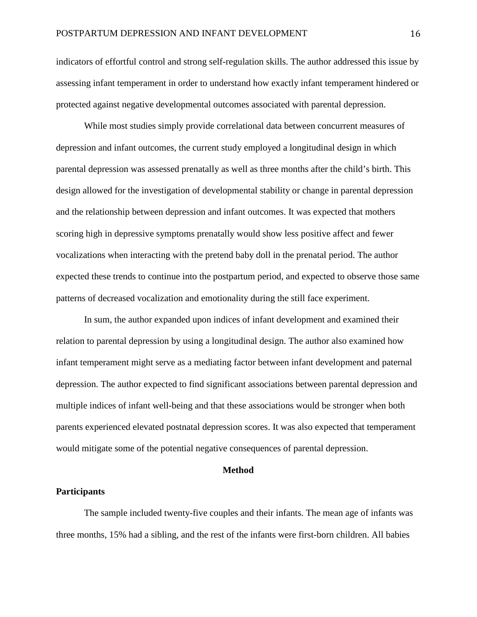indicators of effortful control and strong self-regulation skills. The author addressed this issue by assessing infant temperament in order to understand how exactly infant temperament hindered or protected against negative developmental outcomes associated with parental depression.

While most studies simply provide correlational data between concurrent measures of depression and infant outcomes, the current study employed a longitudinal design in which parental depression was assessed prenatally as well as three months after the child's birth. This design allowed for the investigation of developmental stability or change in parental depression and the relationship between depression and infant outcomes. It was expected that mothers scoring high in depressive symptoms prenatally would show less positive affect and fewer vocalizations when interacting with the pretend baby doll in the prenatal period. The author expected these trends to continue into the postpartum period, and expected to observe those same patterns of decreased vocalization and emotionality during the still face experiment.

In sum, the author expanded upon indices of infant development and examined their relation to parental depression by using a longitudinal design. The author also examined how infant temperament might serve as a mediating factor between infant development and paternal depression. The author expected to find significant associations between parental depression and multiple indices of infant well-being and that these associations would be stronger when both parents experienced elevated postnatal depression scores. It was also expected that temperament would mitigate some of the potential negative consequences of parental depression.

#### **Method**

#### **Participants**

The sample included twenty-five couples and their infants. The mean age of infants was three months, 15% had a sibling, and the rest of the infants were first-born children. All babies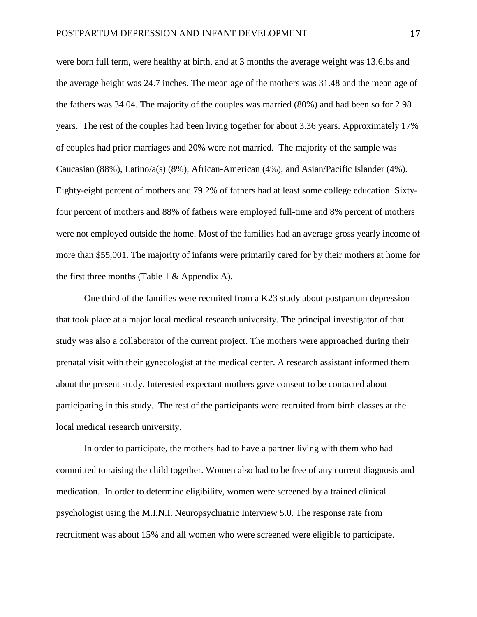were born full term, were healthy at birth, and at 3 months the average weight was 13.6lbs and the average height was 24.7 inches. The mean age of the mothers was 31.48 and the mean age of the fathers was 34.04. The majority of the couples was married (80%) and had been so for 2.98 years. The rest of the couples had been living together for about 3.36 years. Approximately 17% of couples had prior marriages and 20% were not married. The majority of the sample was Caucasian (88%), Latino/a(s) (8%), African-American (4%), and Asian/Pacific Islander (4%). Eighty-eight percent of mothers and 79.2% of fathers had at least some college education. Sixtyfour percent of mothers and 88% of fathers were employed full-time and 8% percent of mothers were not employed outside the home. Most of the families had an average gross yearly income of more than \$55,001. The majority of infants were primarily cared for by their mothers at home for the first three months (Table 1 & Appendix A).

One third of the families were recruited from a K23 study about postpartum depression that took place at a major local medical research university. The principal investigator of that study was also a collaborator of the current project. The mothers were approached during their prenatal visit with their gynecologist at the medical center. A research assistant informed them about the present study. Interested expectant mothers gave consent to be contacted about participating in this study. The rest of the participants were recruited from birth classes at the local medical research university.

In order to participate, the mothers had to have a partner living with them who had committed to raising the child together. Women also had to be free of any current diagnosis and medication. In order to determine eligibility, women were screened by a trained clinical psychologist using the M.I.N.I. Neuropsychiatric Interview 5.0. The response rate from recruitment was about 15% and all women who were screened were eligible to participate.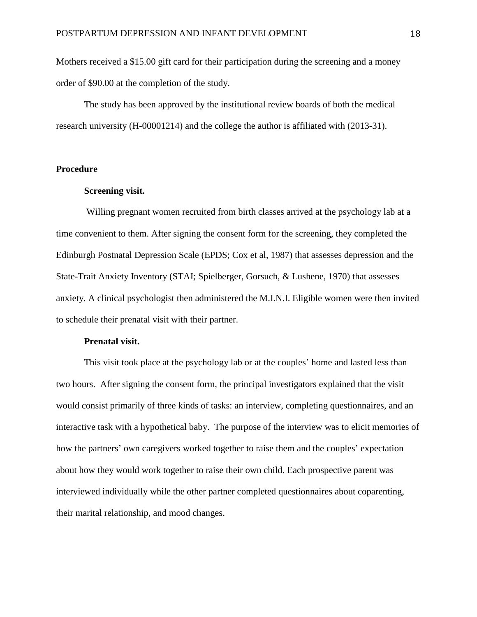Mothers received a \$15.00 gift card for their participation during the screening and a money order of \$90.00 at the completion of the study.

The study has been approved by the institutional review boards of both the medical research university (H-00001214) and the college the author is affiliated with (2013-31).

### **Procedure**

#### **Screening visit.**

Willing pregnant women recruited from birth classes arrived at the psychology lab at a time convenient to them. After signing the consent form for the screening, they completed the Edinburgh Postnatal Depression Scale (EPDS; Cox et al, 1987) that assesses depression and the State-Trait Anxiety Inventory (STAI; Spielberger, Gorsuch, & Lushene, 1970) that assesses anxiety. A clinical psychologist then administered the M.I.N.I. Eligible women were then invited to schedule their prenatal visit with their partner.

#### **Prenatal visit.**

This visit took place at the psychology lab or at the couples' home and lasted less than two hours. After signing the consent form, the principal investigators explained that the visit would consist primarily of three kinds of tasks: an interview, completing questionnaires, and an interactive task with a hypothetical baby. The purpose of the interview was to elicit memories of how the partners' own caregivers worked together to raise them and the couples' expectation about how they would work together to raise their own child. Each prospective parent was interviewed individually while the other partner completed questionnaires about coparenting, their marital relationship, and mood changes.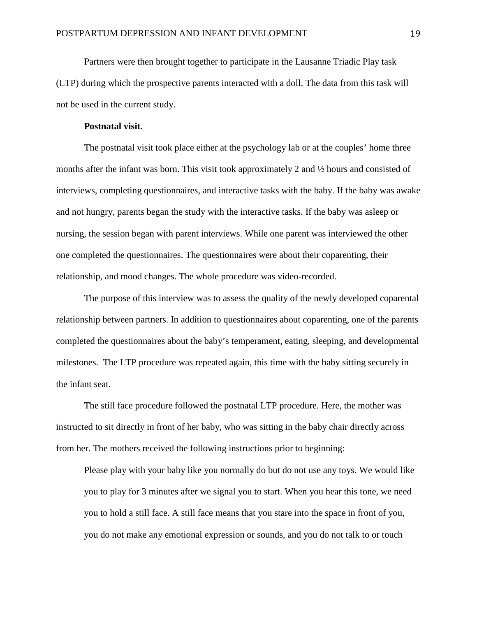Partners were then brought together to participate in the Lausanne Triadic Play task (LTP) during which the prospective parents interacted with a doll. The data from this task will not be used in the current study.

#### **Postnatal visit.**

The postnatal visit took place either at the psychology lab or at the couples' home three months after the infant was born. This visit took approximately 2 and ½ hours and consisted of interviews, completing questionnaires, and interactive tasks with the baby. If the baby was awake and not hungry, parents began the study with the interactive tasks. If the baby was asleep or nursing, the session began with parent interviews. While one parent was interviewed the other one completed the questionnaires. The questionnaires were about their coparenting, their relationship, and mood changes. The whole procedure was video-recorded.

The purpose of this interview was to assess the quality of the newly developed coparental relationship between partners. In addition to questionnaires about coparenting, one of the parents completed the questionnaires about the baby's temperament, eating, sleeping, and developmental milestones. The LTP procedure was repeated again, this time with the baby sitting securely in the infant seat.

The still face procedure followed the postnatal LTP procedure. Here, the mother was instructed to sit directly in front of her baby, who was sitting in the baby chair directly across from her. The mothers received the following instructions prior to beginning:

Please play with your baby like you normally do but do not use any toys. We would like you to play for 3 minutes after we signal you to start. When you hear this tone, we need you to hold a still face. A still face means that you stare into the space in front of you, you do not make any emotional expression or sounds, and you do not talk to or touch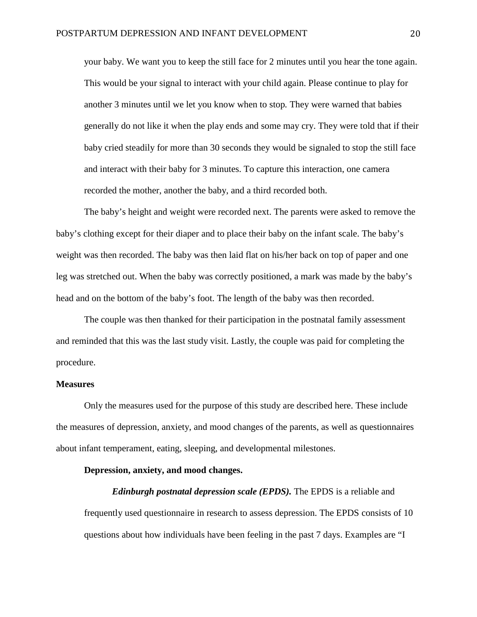your baby. We want you to keep the still face for 2 minutes until you hear the tone again. This would be your signal to interact with your child again. Please continue to play for another 3 minutes until we let you know when to stop*.* They were warned that babies generally do not like it when the play ends and some may cry. They were told that if their baby cried steadily for more than 30 seconds they would be signaled to stop the still face and interact with their baby for 3 minutes. To capture this interaction, one camera recorded the mother, another the baby, and a third recorded both.

The baby's height and weight were recorded next. The parents were asked to remove the baby's clothing except for their diaper and to place their baby on the infant scale. The baby's weight was then recorded. The baby was then laid flat on his/her back on top of paper and one leg was stretched out. When the baby was correctly positioned, a mark was made by the baby's head and on the bottom of the baby's foot. The length of the baby was then recorded.

The couple was then thanked for their participation in the postnatal family assessment and reminded that this was the last study visit. Lastly, the couple was paid for completing the procedure.

#### **Measures**

Only the measures used for the purpose of this study are described here. These include the measures of depression, anxiety, and mood changes of the parents, as well as questionnaires about infant temperament, eating, sleeping, and developmental milestones.

#### **Depression, anxiety, and mood changes.**

*Edinburgh postnatal depression scale (EPDS).* The EPDS is a reliable and frequently used questionnaire in research to assess depression. The EPDS consists of 10 questions about how individuals have been feeling in the past 7 days. Examples are "I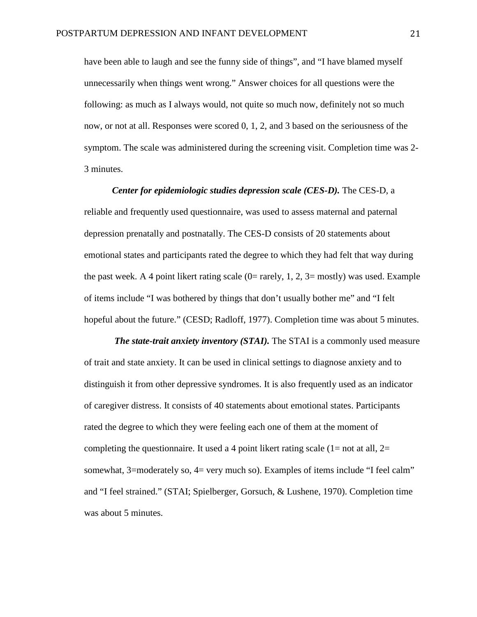have been able to laugh and see the funny side of things", and "I have blamed myself unnecessarily when things went wrong." Answer choices for all questions were the following: as much as I always would, not quite so much now, definitely not so much now, or not at all. Responses were scored 0, 1, 2, and 3 based on the seriousness of the symptom. The scale was administered during the screening visit. Completion time was 2- 3 minutes.

*Center for epidemiologic studies depression scale (CES-D).* The CES-D, a reliable and frequently used questionnaire, was used to assess maternal and paternal depression prenatally and postnatally. The CES-D consists of 20 statements about emotional states and participants rated the degree to which they had felt that way during the past week. A 4 point likert rating scale  $(0=$  rarely, 1, 2, 3= mostly) was used. Example of items include "I was bothered by things that don't usually bother me" and "I felt hopeful about the future." (CESD; Radloff, 1977). Completion time was about 5 minutes.

*The state-trait anxiety inventory (STAI).* The STAI is a commonly used measure of trait and state anxiety. It can be used in clinical settings to diagnose anxiety and to distinguish it from other depressive syndromes. It is also frequently used as an indicator of caregiver distress. It consists of 40 statements about emotional states. Participants rated the degree to which they were feeling each one of them at the moment of completing the questionnaire. It used a 4 point likert rating scale  $(1=$  not at all,  $2=$ somewhat, 3=moderately so, 4= very much so). Examples of items include "I feel calm" and "I feel strained." (STAI; Spielberger, Gorsuch, & Lushene, 1970). Completion time was about 5 minutes.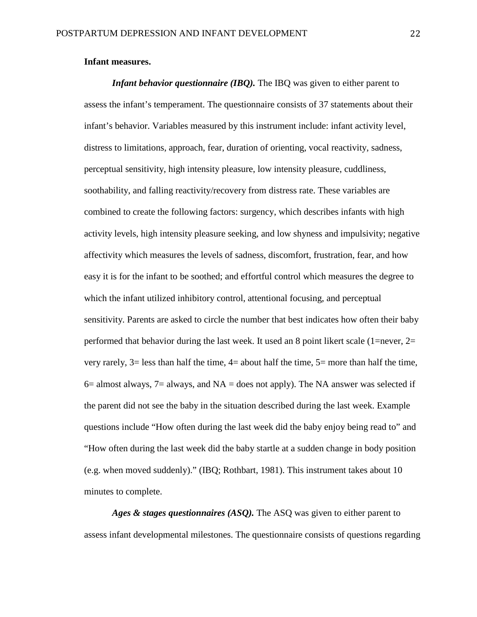#### **Infant measures.**

*Infant behavior questionnaire (IBQ)*. The IBQ was given to either parent to assess the infant's temperament. The questionnaire consists of 37 statements about their infant's behavior. Variables measured by this instrument include: infant activity level, distress to limitations, approach, fear, duration of orienting, vocal reactivity, sadness, perceptual sensitivity, high intensity pleasure, low intensity pleasure, cuddliness, soothability, and falling reactivity/recovery from distress rate. These variables are combined to create the following factors: surgency, which describes infants with high activity levels, high intensity pleasure seeking, and low shyness and impulsivity; negative affectivity which measures the levels of sadness, discomfort, frustration, fear, and how easy it is for the infant to be soothed; and effortful control which measures the degree to which the infant utilized inhibitory control, attentional focusing, and perceptual sensitivity. Parents are asked to circle the number that best indicates how often their baby performed that behavior during the last week. It used an 8 point likert scale (1=never, 2= very rarely,  $3=$  less than half the time,  $4=$  about half the time,  $5=$  more than half the time,  $6=$  almost always,  $7=$  always, and  $NA =$  does not apply). The NA answer was selected if the parent did not see the baby in the situation described during the last week. Example questions include "How often during the last week did the baby enjoy being read to" and "How often during the last week did the baby startle at a sudden change in body position (e.g. when moved suddenly)." (IBQ; Rothbart, 1981). This instrument takes about 10 minutes to complete.

*Ages & stages questionnaires (ASQ).* The ASQ was given to either parent to assess infant developmental milestones. The questionnaire consists of questions regarding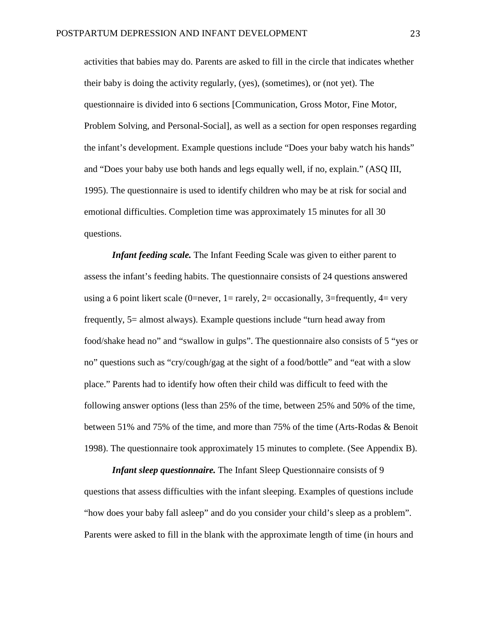activities that babies may do. Parents are asked to fill in the circle that indicates whether their baby is doing the activity regularly, (yes), (sometimes), or (not yet). The questionnaire is divided into 6 sections [Communication, Gross Motor, Fine Motor, Problem Solving, and Personal-Social], as well as a section for open responses regarding the infant's development. Example questions include "Does your baby watch his hands" and "Does your baby use both hands and legs equally well, if no, explain." (ASQ III, 1995). The questionnaire is used to identify children who may be at risk for social and emotional difficulties. Completion time was approximately 15 minutes for all 30 questions.

*Infant feeding scale.* The Infant Feeding Scale was given to either parent to assess the infant's feeding habits. The questionnaire consists of 24 questions answered using a 6 point likert scale (0=never,  $1=$  rarely,  $2=$  occasionally,  $3=$  frequently,  $4=$  very frequently, 5= almost always). Example questions include "turn head away from food/shake head no" and "swallow in gulps". The questionnaire also consists of 5 "yes or no" questions such as "cry/cough/gag at the sight of a food/bottle" and "eat with a slow place." Parents had to identify how often their child was difficult to feed with the following answer options (less than 25% of the time, between 25% and 50% of the time, between 51% and 75% of the time, and more than 75% of the time (Arts-Rodas & Benoit 1998). The questionnaire took approximately 15 minutes to complete. (See Appendix B).

*Infant sleep questionnaire.* The Infant Sleep Questionnaire consists of 9 questions that assess difficulties with the infant sleeping. Examples of questions include "how does your baby fall asleep" and do you consider your child's sleep as a problem". Parents were asked to fill in the blank with the approximate length of time (in hours and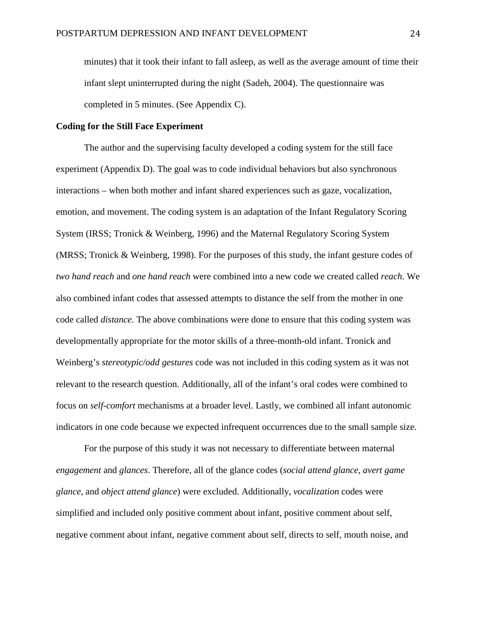minutes) that it took their infant to fall asleep, as well as the average amount of time their infant slept uninterrupted during the night (Sadeh, 2004). The questionnaire was completed in 5 minutes. (See Appendix C).

#### **Coding for the Still Face Experiment**

The author and the supervising faculty developed a coding system for the still face experiment (Appendix D). The goal was to code individual behaviors but also synchronous interactions – when both mother and infant shared experiences such as gaze, vocalization, emotion, and movement. The coding system is an adaptation of the Infant Regulatory Scoring System (IRSS; Tronick & Weinberg, 1996) and the Maternal Regulatory Scoring System (MRSS; Tronick & Weinberg, 1998). For the purposes of this study, the infant gesture codes of *two hand reach* and *one hand reach* were combined into a new code we created called *reach*. We also combined infant codes that assessed attempts to distance the self from the mother in one code called *distance*. The above combinations were done to ensure that this coding system was developmentally appropriate for the motor skills of a three-month-old infant. Tronick and Weinberg's *stereotypic/odd gestures* code was not included in this coding system as it was not relevant to the research question. Additionally, all of the infant's oral codes were combined to focus on *self-comfort* mechanisms at a broader level. Lastly, we combined all infant autonomic indicators in one code because we expected infrequent occurrences due to the small sample size.

For the purpose of this study it was not necessary to differentiate between maternal *engagement* and *glances*. Therefore, all of the glance codes (*social attend glance*, *avert game glance*, and *object attend glance*) were excluded. Additionally, *vocalization* codes were simplified and included only positive comment about infant, positive comment about self, negative comment about infant, negative comment about self, directs to self, mouth noise, and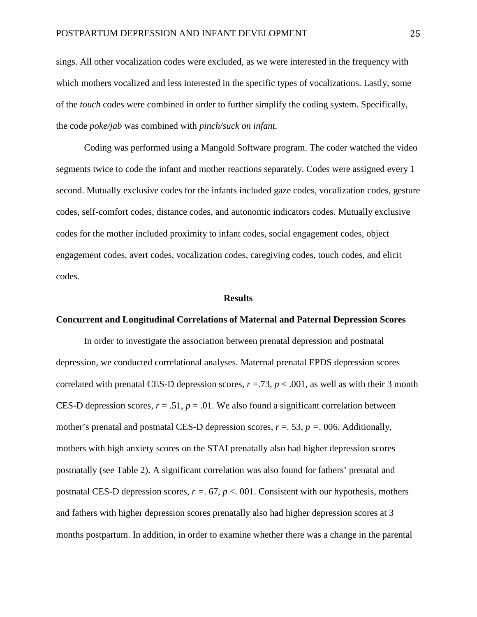sings. All other vocalization codes were excluded, as we were interested in the frequency with which mothers vocalized and less interested in the specific types of vocalizations. Lastly, some of the *touch* codes were combined in order to further simplify the coding system. Specifically, the code *poke/jab* was combined with *pinch/suck on infant.*

Coding was performed using a Mangold Software program. The coder watched the video segments twice to code the infant and mother reactions separately. Codes were assigned every 1 second. Mutually exclusive codes for the infants included gaze codes, vocalization codes, gesture codes, self-comfort codes, distance codes, and autonomic indicators codes. Mutually exclusive codes for the mother included proximity to infant codes, social engagement codes, object engagement codes, avert codes, vocalization codes, caregiving codes, touch codes, and elicit codes.

#### **Results**

#### **Concurrent and Longitudinal Correlations of Maternal and Paternal Depression Scores**

In order to investigate the association between prenatal depression and postnatal depression, we conducted correlational analyses. Maternal prenatal EPDS depression scores correlated with prenatal CES-D depression scores,  $r = .73$ ,  $p < .001$ , as well as with their 3 month CES-D depression scores,  $r = .51$ ,  $p = .01$ . We also found a significant correlation between mother's prenatal and postnatal CES-D depression scores,  $r = 0.53$ ,  $p = 0.006$ . Additionally, mothers with high anxiety scores on the STAI prenatally also had higher depression scores postnatally (see Table 2). A significant correlation was also found for fathers' prenatal and postnatal CES-D depression scores, *r =*. 67, *p* <. 001. Consistent with our hypothesis, mothers and fathers with higher depression scores prenatally also had higher depression scores at 3 months postpartum. In addition, in order to examine whether there was a change in the parental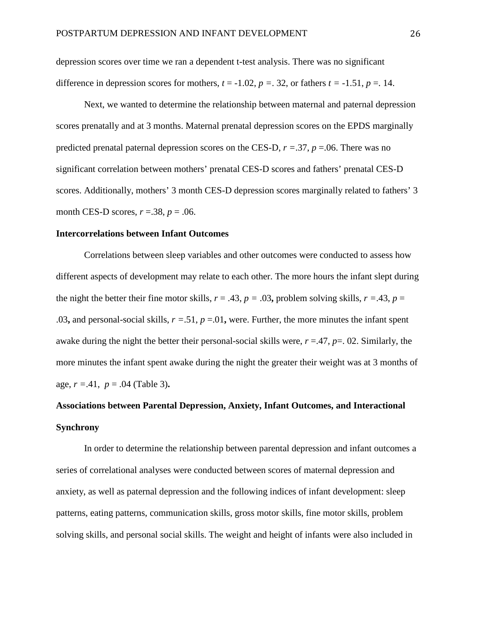depression scores over time we ran a dependent t-test analysis. There was no significant difference in depression scores for mothers,  $t = -1.02$ ,  $p = 0.32$ , or fathers  $t = -1.51$ ,  $p = 0.14$ .

Next, we wanted to determine the relationship between maternal and paternal depression scores prenatally and at 3 months. Maternal prenatal depression scores on the EPDS marginally predicted prenatal paternal depression scores on the CES-D,  $r = .37$ ,  $p = .06$ . There was no significant correlation between mothers' prenatal CES-D scores and fathers' prenatal CES-D scores. Additionally, mothers' 3 month CES-D depression scores marginally related to fathers' 3 month CES-D scores, *r* =.38, *p* = .06.

#### **Intercorrelations between Infant Outcomes**

Correlations between sleep variables and other outcomes were conducted to assess how different aspects of development may relate to each other. The more hours the infant slept during the night the better their fine motor skills,  $r = .43$ ,  $p = .03$ , problem solving skills,  $r = .43$ ,  $p =$ .03, and personal-social skills,  $r = .51$ ,  $p = .01$ , were. Further, the more minutes the infant spent awake during the night the better their personal-social skills were,  $r = 0.47$ ,  $p = 0.02$ . Similarly, the more minutes the infant spent awake during the night the greater their weight was at 3 months of age,  $r = 0.41$ ,  $p = 0.04$  (Table 3).

# **Associations between Parental Depression, Anxiety, Infant Outcomes, and Interactional Synchrony**

In order to determine the relationship between parental depression and infant outcomes a series of correlational analyses were conducted between scores of maternal depression and anxiety, as well as paternal depression and the following indices of infant development: sleep patterns, eating patterns, communication skills, gross motor skills, fine motor skills, problem solving skills, and personal social skills. The weight and height of infants were also included in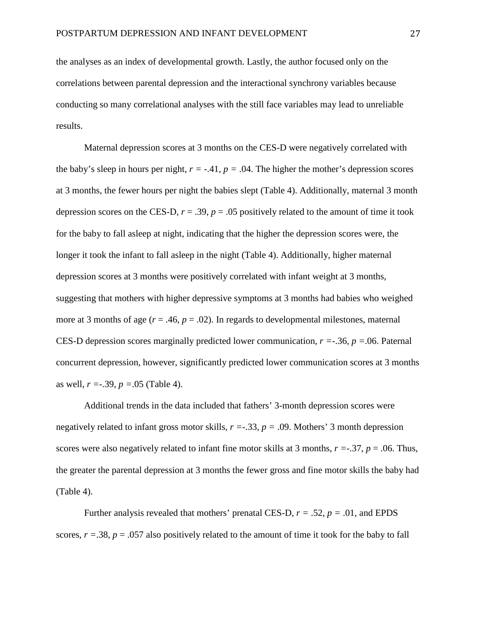the analyses as an index of developmental growth. Lastly, the author focused only on the correlations between parental depression and the interactional synchrony variables because conducting so many correlational analyses with the still face variables may lead to unreliable results.

Maternal depression scores at 3 months on the CES-D were negatively correlated with the baby's sleep in hours per night,  $r = -0.41$ ,  $p = 0.04$ . The higher the mother's depression scores at 3 months, the fewer hours per night the babies slept (Table 4). Additionally, maternal 3 month depression scores on the CES-D,  $r = .39$ ,  $p = .05$  positively related to the amount of time it took for the baby to fall asleep at night, indicating that the higher the depression scores were, the longer it took the infant to fall asleep in the night (Table 4). Additionally, higher maternal depression scores at 3 months were positively correlated with infant weight at 3 months, suggesting that mothers with higher depressive symptoms at 3 months had babies who weighed more at 3 months of age  $(r = .46, p = .02)$ . In regards to developmental milestones, maternal CES-D depression scores marginally predicted lower communication, *r =*-.36, *p =*.06. Paternal concurrent depression, however, significantly predicted lower communication scores at 3 months as well, *r =*-.39, *p =*.05 (Table 4).

Additional trends in the data included that fathers' 3-month depression scores were negatively related to infant gross motor skills, *r =*-.33, *p =* .09. Mothers' 3 month depression scores were also negatively related to infant fine motor skills at 3 months,  $r = -0.37$ ,  $p = 0.06$ . Thus, the greater the parental depression at 3 months the fewer gross and fine motor skills the baby had (Table 4).

Further analysis revealed that mothers' prenatal CES-D,  $r = .52$ ,  $p = .01$ , and EPDS scores,  $r = .38$ ,  $p = .057$  also positively related to the amount of time it took for the baby to fall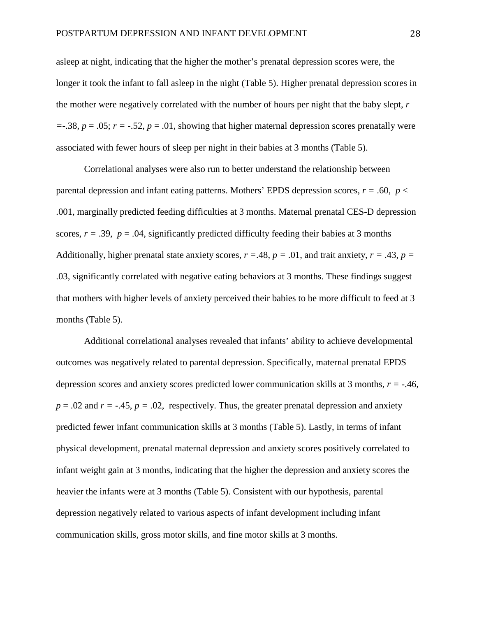asleep at night, indicating that the higher the mother's prenatal depression scores were, the longer it took the infant to fall asleep in the night (Table 5). Higher prenatal depression scores in the mother were negatively correlated with the number of hours per night that the baby slept, *r*   $=$ -.38,  $p = .05$ ;  $r = -.52$ ,  $p = .01$ , showing that higher maternal depression scores prenatally were associated with fewer hours of sleep per night in their babies at 3 months (Table 5).

Correlational analyses were also run to better understand the relationship between parental depression and infant eating patterns. Mothers' EPDS depression scores,  $r = .60$ ,  $p <$ .001, marginally predicted feeding difficulties at 3 months. Maternal prenatal CES-D depression scores,  $r = .39$ ,  $p = .04$ , significantly predicted difficulty feeding their babies at 3 months Additionally, higher prenatal state anxiety scores,  $r = .48$ ,  $p = .01$ , and trait anxiety,  $r = .43$ ,  $p =$ .03, significantly correlated with negative eating behaviors at 3 months. These findings suggest that mothers with higher levels of anxiety perceived their babies to be more difficult to feed at 3 months (Table 5).

Additional correlational analyses revealed that infants' ability to achieve developmental outcomes was negatively related to parental depression. Specifically, maternal prenatal EPDS depression scores and anxiety scores predicted lower communication skills at 3 months, *r =* -.46,  $p = 0.02$  and  $r = -0.45$ ,  $p = 0.02$ , respectively. Thus, the greater prenatal depression and anxiety predicted fewer infant communication skills at 3 months (Table 5). Lastly, in terms of infant physical development, prenatal maternal depression and anxiety scores positively correlated to infant weight gain at 3 months, indicating that the higher the depression and anxiety scores the heavier the infants were at 3 months (Table 5). Consistent with our hypothesis, parental depression negatively related to various aspects of infant development including infant communication skills, gross motor skills, and fine motor skills at 3 months.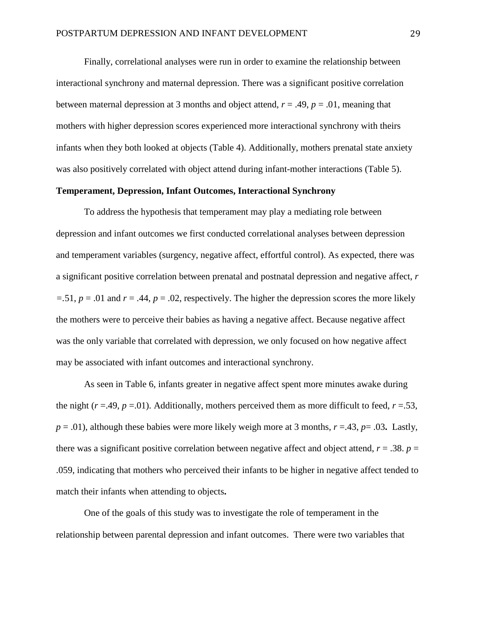Finally, correlational analyses were run in order to examine the relationship between interactional synchrony and maternal depression. There was a significant positive correlation between maternal depression at 3 months and object attend, *r* = .49, *p* = .01, meaning that mothers with higher depression scores experienced more interactional synchrony with theirs infants when they both looked at objects (Table 4). Additionally, mothers prenatal state anxiety was also positively correlated with object attend during infant-mother interactions (Table 5).

### **Temperament, Depression, Infant Outcomes, Interactional Synchrony**

To address the hypothesis that temperament may play a mediating role between depression and infant outcomes we first conducted correlational analyses between depression and temperament variables (surgency, negative affect, effortful control). As expected, there was a significant positive correlation between prenatal and postnatal depression and negative affect, *r*   $=$ .51,  $p = .01$  and  $r = .44$ ,  $p = .02$ , respectively. The higher the depression scores the more likely the mothers were to perceive their babies as having a negative affect. Because negative affect was the only variable that correlated with depression, we only focused on how negative affect may be associated with infant outcomes and interactional synchrony.

As seen in Table 6, infants greater in negative affect spent more minutes awake during the night ( $r = .49$ ,  $p = .01$ ). Additionally, mothers perceived them as more difficult to feed,  $r = .53$ ,  $p = .01$ ), although these babies were more likely weigh more at 3 months,  $r = .43$ ,  $p = .03$ . Lastly, there was a significant positive correlation between negative affect and object attend,  $r = .38$ .  $p =$ .059, indicating that mothers who perceived their infants to be higher in negative affect tended to match their infants when attending to objects**.**

One of the goals of this study was to investigate the role of temperament in the relationship between parental depression and infant outcomes. There were two variables that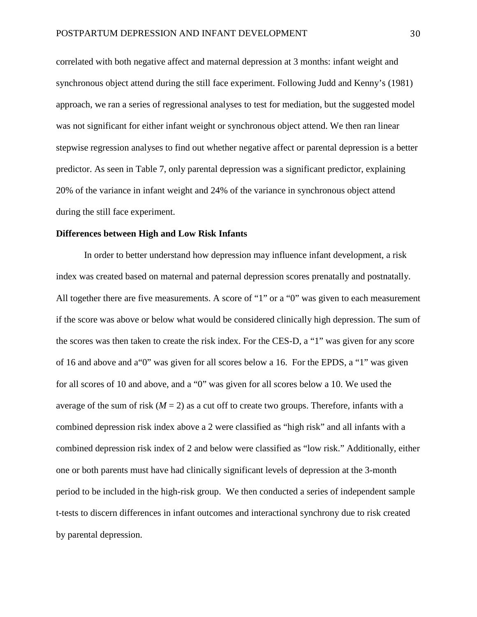correlated with both negative affect and maternal depression at 3 months: infant weight and synchronous object attend during the still face experiment. Following Judd and Kenny's (1981) approach, we ran a series of regressional analyses to test for mediation, but the suggested model was not significant for either infant weight or synchronous object attend. We then ran linear stepwise regression analyses to find out whether negative affect or parental depression is a better predictor. As seen in Table 7, only parental depression was a significant predictor, explaining 20% of the variance in infant weight and 24% of the variance in synchronous object attend during the still face experiment.

#### **Differences between High and Low Risk Infants**

In order to better understand how depression may influence infant development, a risk index was created based on maternal and paternal depression scores prenatally and postnatally. All together there are five measurements. A score of "1" or a "0" was given to each measurement if the score was above or below what would be considered clinically high depression. The sum of the scores was then taken to create the risk index. For the CES-D, a "1" was given for any score of 16 and above and a"0" was given for all scores below a 16. For the EPDS, a "1" was given for all scores of 10 and above, and a "0" was given for all scores below a 10. We used the average of the sum of risk  $(M = 2)$  as a cut off to create two groups. Therefore, infants with a combined depression risk index above a 2 were classified as "high risk" and all infants with a combined depression risk index of 2 and below were classified as "low risk." Additionally, either one or both parents must have had clinically significant levels of depression at the 3-month period to be included in the high-risk group. We then conducted a series of independent sample t-tests to discern differences in infant outcomes and interactional synchrony due to risk created by parental depression.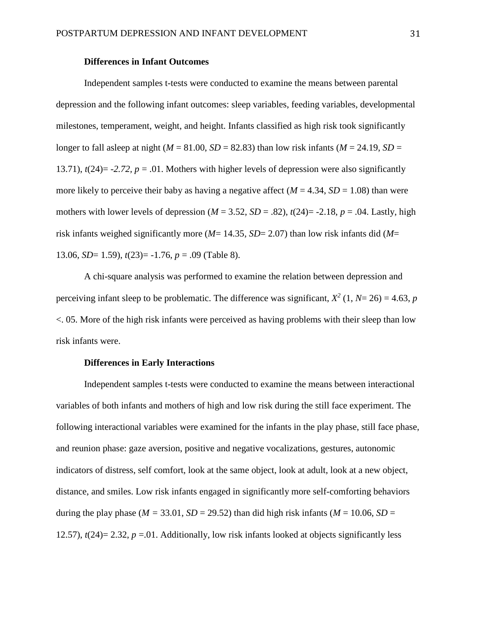#### **Differences in Infant Outcomes**

Independent samples t-tests were conducted to examine the means between parental depression and the following infant outcomes: sleep variables, feeding variables, developmental milestones, temperament, weight, and height. Infants classified as high risk took significantly longer to fall asleep at night ( $M = 81.00$ ,  $SD = 82.83$ ) than low risk infants ( $M = 24.19$ ,  $SD =$ 13.71),  $t(24) = -2.72$ ,  $p = .01$ . Mothers with higher levels of depression were also significantly more likely to perceive their baby as having a negative affect  $(M = 4.34, SD = 1.08)$  than were mothers with lower levels of depression ( $M = 3.52$ ,  $SD = .82$ ),  $t(24) = -2.18$ ,  $p = .04$ . Lastly, high risk infants weighed significantly more (*M*= 14.35, *SD*= 2.07) than low risk infants did (*M*= 13.06, *SD*= 1.59), *t*(23)= -1.76, *p* = .09 (Table 8).

A chi-square analysis was performed to examine the relation between depression and perceiving infant sleep to be problematic. The difference was significant,  $X^2$  (1,  $N=26$ ) = 4.63, *p* <. 05. More of the high risk infants were perceived as having problems with their sleep than low risk infants were.

#### **Differences in Early Interactions**

Independent samples t-tests were conducted to examine the means between interactional variables of both infants and mothers of high and low risk during the still face experiment. The following interactional variables were examined for the infants in the play phase, still face phase, and reunion phase: gaze aversion, positive and negative vocalizations, gestures, autonomic indicators of distress, self comfort, look at the same object, look at adult, look at a new object, distance, and smiles. Low risk infants engaged in significantly more self-comforting behaviors during the play phase ( $M = 33.01$ ,  $SD = 29.52$ ) than did high risk infants ( $M = 10.06$ ,  $SD =$ 12.57),  $t(24)= 2.32$ ,  $p = 0.01$ . Additionally, low risk infants looked at objects significantly less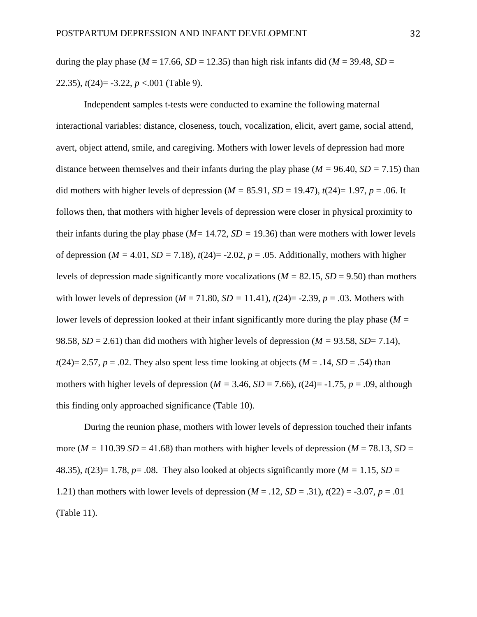during the play phase ( $M = 17.66$ ,  $SD = 12.35$ ) than high risk infants did ( $M = 39.48$ ,  $SD =$ 22.35), *t*(24)= -3.22, *p* <.001 (Table 9).

Independent samples t-tests were conducted to examine the following maternal interactional variables: distance, closeness, touch, vocalization, elicit, avert game, social attend, avert, object attend, smile, and caregiving. Mothers with lower levels of depression had more distance between themselves and their infants during the play phase ( $M = 96.40$ ,  $SD = 7.15$ ) than did mothers with higher levels of depression ( $M = 85.91$ ,  $SD = 19.47$ ),  $t(24) = 1.97$ ,  $p = .06$ . It follows then, that mothers with higher levels of depression were closer in physical proximity to their infants during the play phase (*M=* 14.72, *SD =* 19.36) than were mothers with lower levels of depression ( $M = 4.01$ ,  $SD = 7.18$ ),  $t(24) = -2.02$ ,  $p = .05$ . Additionally, mothers with higher levels of depression made significantly more vocalizations ( $M = 82.15$ ,  $SD = 9.50$ ) than mothers with lower levels of depression ( $M = 71.80$ ,  $SD = 11.41$ ),  $t(24) = -2.39$ ,  $p = .03$ . Mothers with lower levels of depression looked at their infant significantly more during the play phase (*M =*  98.58,  $SD = 2.61$ ) than did mothers with higher levels of depression ( $M = 93.58$ ,  $SD = 7.14$ ),  $t(24)=2.57$ ,  $p=.02$ . They also spent less time looking at objects ( $M=.14$ ,  $SD=.54$ ) than mothers with higher levels of depression ( $M = 3.46$ ,  $SD = 7.66$ ),  $t(24) = -1.75$ ,  $p = .09$ , although this finding only approached significance (Table 10).

During the reunion phase, mothers with lower levels of depression touched their infants more ( $M = 110.39$  *SD* = 41.68) than mothers with higher levels of depression ( $M = 78.13$ , *SD* = 48.35),  $t(23)=1.78$ ,  $p=.08$ . They also looked at objects significantly more ( $M = 1.15$ ,  $SD =$ 1.21) than mothers with lower levels of depression  $(M = .12, SD = .31)$ ,  $t(22) = -3.07$ ,  $p = .01$ (Table 11).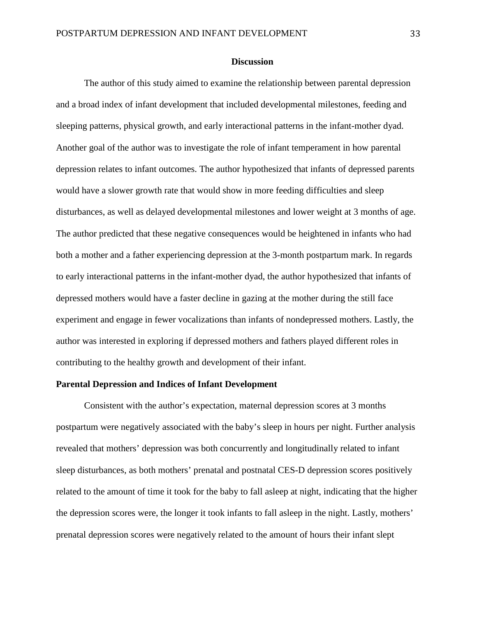#### **Discussion**

The author of this study aimed to examine the relationship between parental depression and a broad index of infant development that included developmental milestones, feeding and sleeping patterns, physical growth, and early interactional patterns in the infant-mother dyad. Another goal of the author was to investigate the role of infant temperament in how parental depression relates to infant outcomes. The author hypothesized that infants of depressed parents would have a slower growth rate that would show in more feeding difficulties and sleep disturbances, as well as delayed developmental milestones and lower weight at 3 months of age. The author predicted that these negative consequences would be heightened in infants who had both a mother and a father experiencing depression at the 3-month postpartum mark. In regards to early interactional patterns in the infant-mother dyad, the author hypothesized that infants of depressed mothers would have a faster decline in gazing at the mother during the still face experiment and engage in fewer vocalizations than infants of nondepressed mothers. Lastly, the author was interested in exploring if depressed mothers and fathers played different roles in contributing to the healthy growth and development of their infant.

#### **Parental Depression and Indices of Infant Development**

Consistent with the author's expectation, maternal depression scores at 3 months postpartum were negatively associated with the baby's sleep in hours per night. Further analysis revealed that mothers' depression was both concurrently and longitudinally related to infant sleep disturbances, as both mothers' prenatal and postnatal CES-D depression scores positively related to the amount of time it took for the baby to fall asleep at night, indicating that the higher the depression scores were, the longer it took infants to fall asleep in the night. Lastly, mothers' prenatal depression scores were negatively related to the amount of hours their infant slept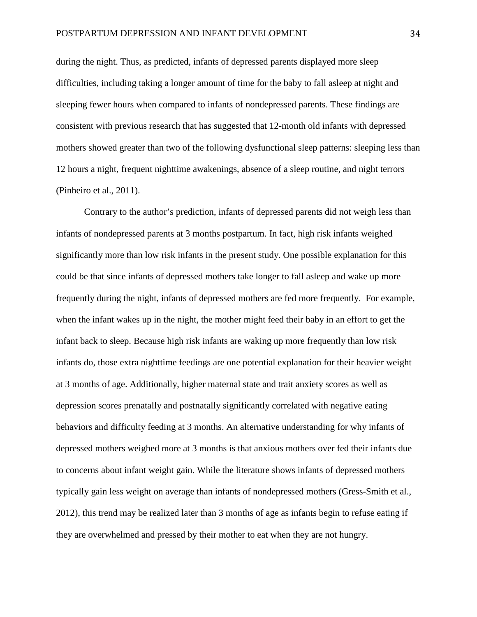during the night. Thus, as predicted, infants of depressed parents displayed more sleep difficulties, including taking a longer amount of time for the baby to fall asleep at night and sleeping fewer hours when compared to infants of nondepressed parents. These findings are consistent with previous research that has suggested that 12-month old infants with depressed mothers showed greater than two of the following dysfunctional sleep patterns: sleeping less than 12 hours a night, frequent nighttime awakenings, absence of a sleep routine, and night terrors (Pinheiro et al., 2011).

Contrary to the author's prediction, infants of depressed parents did not weigh less than infants of nondepressed parents at 3 months postpartum. In fact, high risk infants weighed significantly more than low risk infants in the present study. One possible explanation for this could be that since infants of depressed mothers take longer to fall asleep and wake up more frequently during the night, infants of depressed mothers are fed more frequently. For example, when the infant wakes up in the night, the mother might feed their baby in an effort to get the infant back to sleep. Because high risk infants are waking up more frequently than low risk infants do, those extra nighttime feedings are one potential explanation for their heavier weight at 3 months of age. Additionally, higher maternal state and trait anxiety scores as well as depression scores prenatally and postnatally significantly correlated with negative eating behaviors and difficulty feeding at 3 months. An alternative understanding for why infants of depressed mothers weighed more at 3 months is that anxious mothers over fed their infants due to concerns about infant weight gain. While the literature shows infants of depressed mothers typically gain less weight on average than infants of nondepressed mothers (Gress-Smith et al., 2012), this trend may be realized later than 3 months of age as infants begin to refuse eating if they are overwhelmed and pressed by their mother to eat when they are not hungry.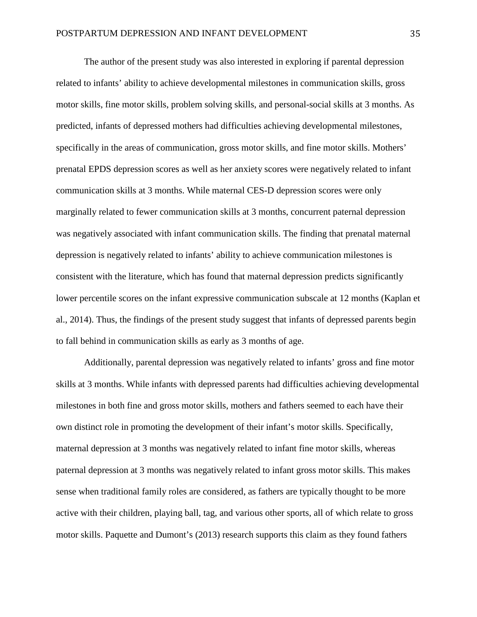The author of the present study was also interested in exploring if parental depression related to infants' ability to achieve developmental milestones in communication skills, gross motor skills, fine motor skills, problem solving skills, and personal-social skills at 3 months. As predicted, infants of depressed mothers had difficulties achieving developmental milestones, specifically in the areas of communication, gross motor skills, and fine motor skills. Mothers' prenatal EPDS depression scores as well as her anxiety scores were negatively related to infant communication skills at 3 months. While maternal CES-D depression scores were only marginally related to fewer communication skills at 3 months, concurrent paternal depression was negatively associated with infant communication skills. The finding that prenatal maternal depression is negatively related to infants' ability to achieve communication milestones is consistent with the literature, which has found that maternal depression predicts significantly lower percentile scores on the infant expressive communication subscale at 12 months (Kaplan et al., 2014). Thus, the findings of the present study suggest that infants of depressed parents begin to fall behind in communication skills as early as 3 months of age.

Additionally, parental depression was negatively related to infants' gross and fine motor skills at 3 months. While infants with depressed parents had difficulties achieving developmental milestones in both fine and gross motor skills, mothers and fathers seemed to each have their own distinct role in promoting the development of their infant's motor skills. Specifically, maternal depression at 3 months was negatively related to infant fine motor skills, whereas paternal depression at 3 months was negatively related to infant gross motor skills. This makes sense when traditional family roles are considered, as fathers are typically thought to be more active with their children, playing ball, tag, and various other sports, all of which relate to gross motor skills. Paquette and Dumont's (2013) research supports this claim as they found fathers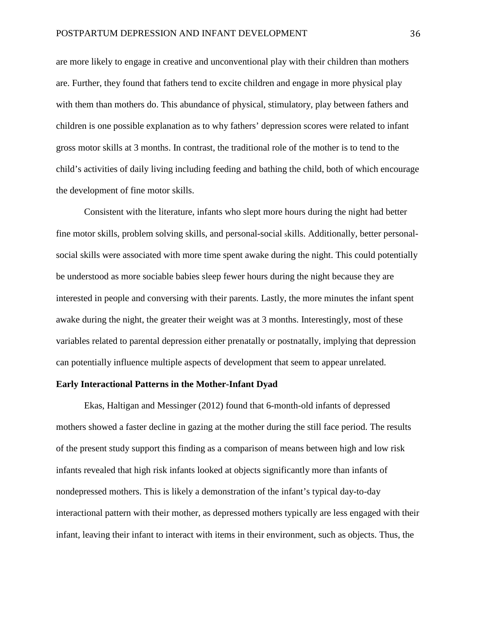are more likely to engage in creative and unconventional play with their children than mothers are. Further, they found that fathers tend to excite children and engage in more physical play with them than mothers do. This abundance of physical, stimulatory, play between fathers and children is one possible explanation as to why fathers' depression scores were related to infant gross motor skills at 3 months. In contrast, the traditional role of the mother is to tend to the child's activities of daily living including feeding and bathing the child, both of which encourage the development of fine motor skills.

Consistent with the literature, infants who slept more hours during the night had better fine motor skills, problem solving skills, and personal-social skills. Additionally, better personalsocial skills were associated with more time spent awake during the night. This could potentially be understood as more sociable babies sleep fewer hours during the night because they are interested in people and conversing with their parents. Lastly, the more minutes the infant spent awake during the night, the greater their weight was at 3 months. Interestingly, most of these variables related to parental depression either prenatally or postnatally, implying that depression can potentially influence multiple aspects of development that seem to appear unrelated.

#### **Early Interactional Patterns in the Mother-Infant Dyad**

Ekas, Haltigan and Messinger (2012) found that 6-month-old infants of depressed mothers showed a faster decline in gazing at the mother during the still face period. The results of the present study support this finding as a comparison of means between high and low risk infants revealed that high risk infants looked at objects significantly more than infants of nondepressed mothers. This is likely a demonstration of the infant's typical day-to-day interactional pattern with their mother, as depressed mothers typically are less engaged with their infant, leaving their infant to interact with items in their environment, such as objects. Thus, the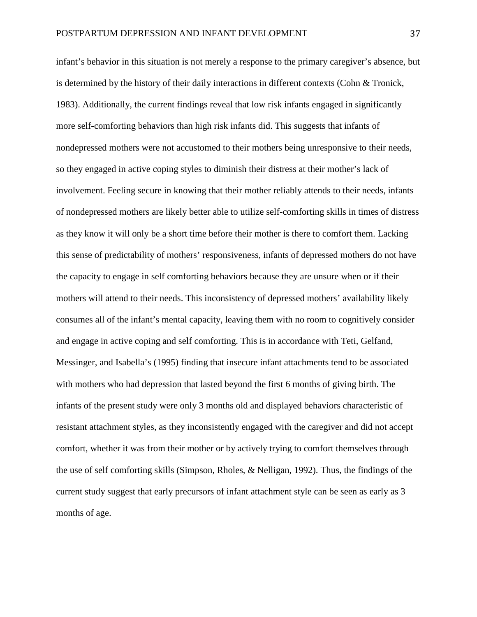infant's behavior in this situation is not merely a response to the primary caregiver's absence, but is determined by the history of their daily interactions in different contexts (Cohn & Tronick, 1983). Additionally, the current findings reveal that low risk infants engaged in significantly more self-comforting behaviors than high risk infants did. This suggests that infants of nondepressed mothers were not accustomed to their mothers being unresponsive to their needs, so they engaged in active coping styles to diminish their distress at their mother's lack of involvement. Feeling secure in knowing that their mother reliably attends to their needs, infants of nondepressed mothers are likely better able to utilize self-comforting skills in times of distress as they know it will only be a short time before their mother is there to comfort them. Lacking this sense of predictability of mothers' responsiveness, infants of depressed mothers do not have the capacity to engage in self comforting behaviors because they are unsure when or if their mothers will attend to their needs. This inconsistency of depressed mothers' availability likely consumes all of the infant's mental capacity, leaving them with no room to cognitively consider and engage in active coping and self comforting. This is in accordance with Teti, Gelfand, Messinger, and Isabella's (1995) finding that insecure infant attachments tend to be associated with mothers who had depression that lasted beyond the first 6 months of giving birth. The infants of the present study were only 3 months old and displayed behaviors characteristic of resistant attachment styles, as they inconsistently engaged with the caregiver and did not accept comfort, whether it was from their mother or by actively trying to comfort themselves through the use of self comforting skills (Simpson, Rholes, & Nelligan, 1992). Thus, the findings of the current study suggest that early precursors of infant attachment style can be seen as early as 3 months of age.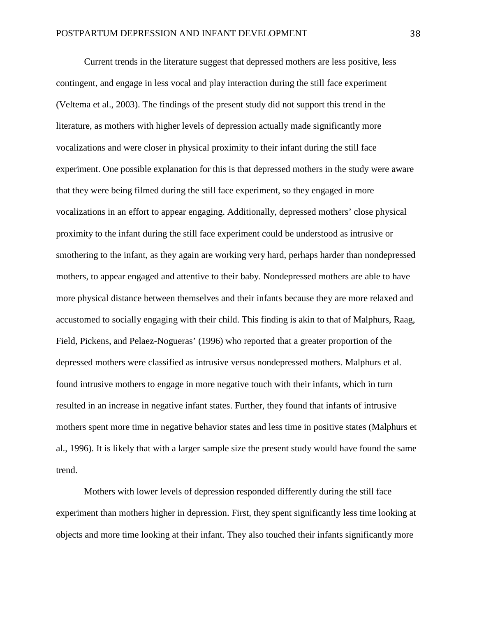Current trends in the literature suggest that depressed mothers are less positive, less contingent, and engage in less vocal and play interaction during the still face experiment (Veltema et al., 2003). The findings of the present study did not support this trend in the literature, as mothers with higher levels of depression actually made significantly more vocalizations and were closer in physical proximity to their infant during the still face experiment. One possible explanation for this is that depressed mothers in the study were aware that they were being filmed during the still face experiment, so they engaged in more vocalizations in an effort to appear engaging. Additionally, depressed mothers' close physical proximity to the infant during the still face experiment could be understood as intrusive or smothering to the infant, as they again are working very hard, perhaps harder than nondepressed mothers, to appear engaged and attentive to their baby. Nondepressed mothers are able to have more physical distance between themselves and their infants because they are more relaxed and accustomed to socially engaging with their child. This finding is akin to that of Malphurs, Raag, Field, Pickens, and Pelaez-Nogueras' (1996) who reported that a greater proportion of the depressed mothers were classified as intrusive versus nondepressed mothers. Malphurs et al. found intrusive mothers to engage in more negative touch with their infants, which in turn resulted in an increase in negative infant states. Further, they found that infants of intrusive mothers spent more time in negative behavior states and less time in positive states (Malphurs et al., 1996). It is likely that with a larger sample size the present study would have found the same trend.

Mothers with lower levels of depression responded differently during the still face experiment than mothers higher in depression. First, they spent significantly less time looking at objects and more time looking at their infant. They also touched their infants significantly more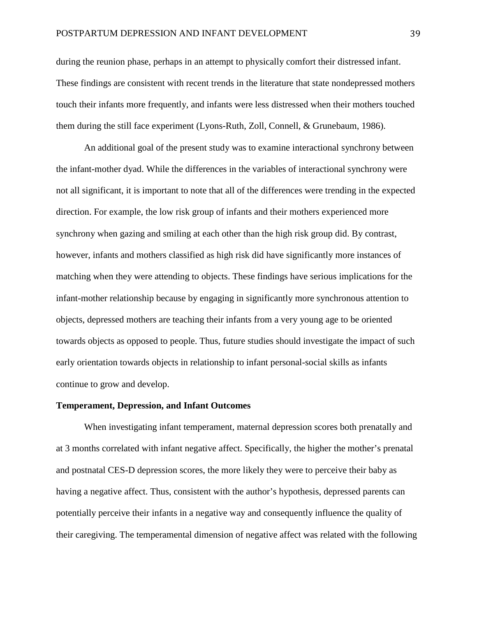during the reunion phase, perhaps in an attempt to physically comfort their distressed infant. These findings are consistent with recent trends in the literature that state nondepressed mothers touch their infants more frequently, and infants were less distressed when their mothers touched them during the still face experiment (Lyons-Ruth, Zoll, Connell, & Grunebaum, 1986).

An additional goal of the present study was to examine interactional synchrony between the infant-mother dyad. While the differences in the variables of interactional synchrony were not all significant, it is important to note that all of the differences were trending in the expected direction. For example, the low risk group of infants and their mothers experienced more synchrony when gazing and smiling at each other than the high risk group did. By contrast, however, infants and mothers classified as high risk did have significantly more instances of matching when they were attending to objects. These findings have serious implications for the infant-mother relationship because by engaging in significantly more synchronous attention to objects, depressed mothers are teaching their infants from a very young age to be oriented towards objects as opposed to people. Thus, future studies should investigate the impact of such early orientation towards objects in relationship to infant personal-social skills as infants continue to grow and develop.

#### **Temperament, Depression, and Infant Outcomes**

When investigating infant temperament, maternal depression scores both prenatally and at 3 months correlated with infant negative affect. Specifically, the higher the mother's prenatal and postnatal CES-D depression scores, the more likely they were to perceive their baby as having a negative affect. Thus, consistent with the author's hypothesis, depressed parents can potentially perceive their infants in a negative way and consequently influence the quality of their caregiving. The temperamental dimension of negative affect was related with the following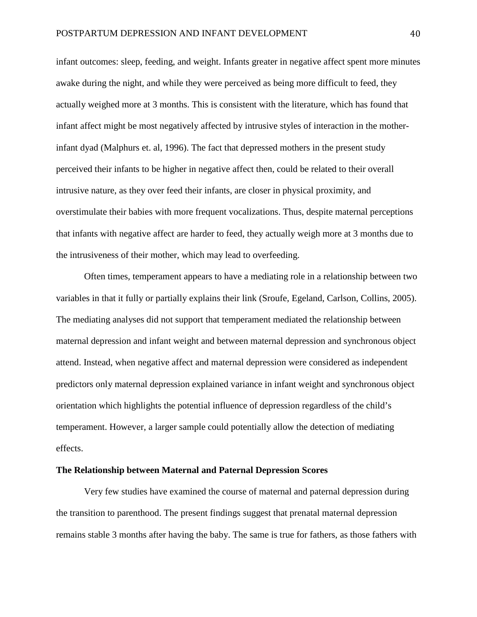infant outcomes: sleep, feeding, and weight. Infants greater in negative affect spent more minutes awake during the night, and while they were perceived as being more difficult to feed, they actually weighed more at 3 months. This is consistent with the literature, which has found that infant affect might be most negatively affected by intrusive styles of interaction in the motherinfant dyad (Malphurs et. al, 1996). The fact that depressed mothers in the present study perceived their infants to be higher in negative affect then, could be related to their overall intrusive nature, as they over feed their infants, are closer in physical proximity, and overstimulate their babies with more frequent vocalizations. Thus, despite maternal perceptions that infants with negative affect are harder to feed, they actually weigh more at 3 months due to the intrusiveness of their mother, which may lead to overfeeding.

Often times, temperament appears to have a mediating role in a relationship between two variables in that it fully or partially explains their link (Sroufe, Egeland, Carlson, Collins, 2005). The mediating analyses did not support that temperament mediated the relationship between maternal depression and infant weight and between maternal depression and synchronous object attend. Instead, when negative affect and maternal depression were considered as independent predictors only maternal depression explained variance in infant weight and synchronous object orientation which highlights the potential influence of depression regardless of the child's temperament. However, a larger sample could potentially allow the detection of mediating effects.

#### **The Relationship between Maternal and Paternal Depression Scores**

Very few studies have examined the course of maternal and paternal depression during the transition to parenthood. The present findings suggest that prenatal maternal depression remains stable 3 months after having the baby. The same is true for fathers, as those fathers with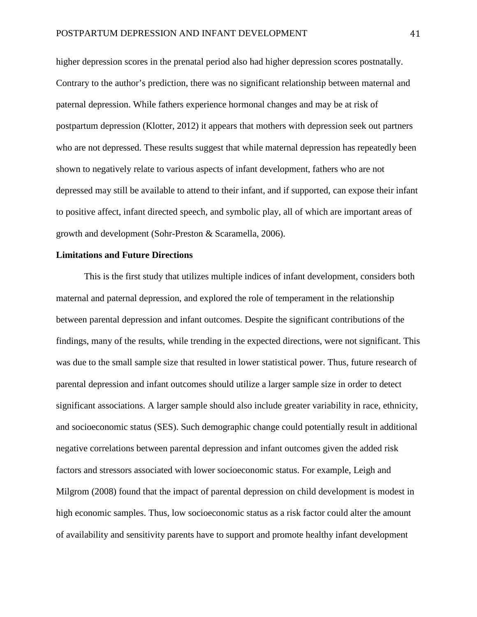higher depression scores in the prenatal period also had higher depression scores postnatally. Contrary to the author's prediction, there was no significant relationship between maternal and paternal depression. While fathers experience hormonal changes and may be at risk of postpartum depression (Klotter, 2012) it appears that mothers with depression seek out partners who are not depressed. These results suggest that while maternal depression has repeatedly been shown to negatively relate to various aspects of infant development, fathers who are not depressed may still be available to attend to their infant, and if supported, can expose their infant to positive affect, infant directed speech, and symbolic play, all of which are important areas of growth and development (Sohr-Preston & Scaramella, 2006).

#### **Limitations and Future Directions**

This is the first study that utilizes multiple indices of infant development, considers both maternal and paternal depression, and explored the role of temperament in the relationship between parental depression and infant outcomes. Despite the significant contributions of the findings, many of the results, while trending in the expected directions, were not significant. This was due to the small sample size that resulted in lower statistical power. Thus, future research of parental depression and infant outcomes should utilize a larger sample size in order to detect significant associations. A larger sample should also include greater variability in race, ethnicity, and socioeconomic status (SES). Such demographic change could potentially result in additional negative correlations between parental depression and infant outcomes given the added risk factors and stressors associated with lower socioeconomic status. For example, Leigh and Milgrom (2008) found that the impact of parental depression on child development is modest in high economic samples. Thus, low socioeconomic status as a risk factor could alter the amount of availability and sensitivity parents have to support and promote healthy infant development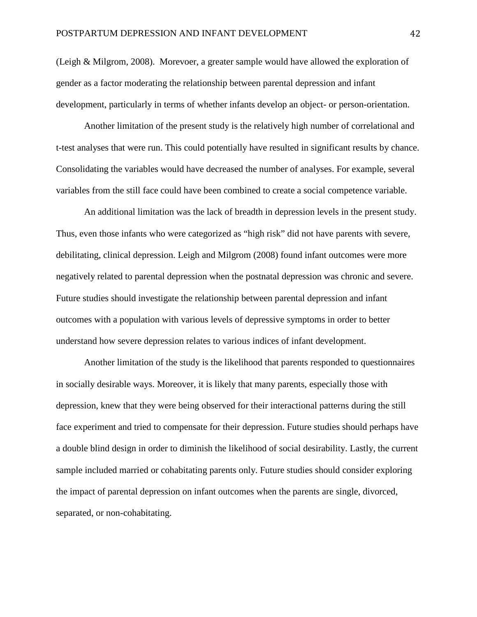(Leigh & Milgrom, 2008). Morevoer, a greater sample would have allowed the exploration of gender as a factor moderating the relationship between parental depression and infant development, particularly in terms of whether infants develop an object- or person-orientation.

Another limitation of the present study is the relatively high number of correlational and t-test analyses that were run. This could potentially have resulted in significant results by chance. Consolidating the variables would have decreased the number of analyses. For example, several variables from the still face could have been combined to create a social competence variable.

An additional limitation was the lack of breadth in depression levels in the present study. Thus, even those infants who were categorized as "high risk" did not have parents with severe, debilitating, clinical depression. Leigh and Milgrom (2008) found infant outcomes were more negatively related to parental depression when the postnatal depression was chronic and severe. Future studies should investigate the relationship between parental depression and infant outcomes with a population with various levels of depressive symptoms in order to better understand how severe depression relates to various indices of infant development.

Another limitation of the study is the likelihood that parents responded to questionnaires in socially desirable ways. Moreover, it is likely that many parents, especially those with depression, knew that they were being observed for their interactional patterns during the still face experiment and tried to compensate for their depression. Future studies should perhaps have a double blind design in order to diminish the likelihood of social desirability. Lastly, the current sample included married or cohabitating parents only. Future studies should consider exploring the impact of parental depression on infant outcomes when the parents are single, divorced, separated, or non-cohabitating.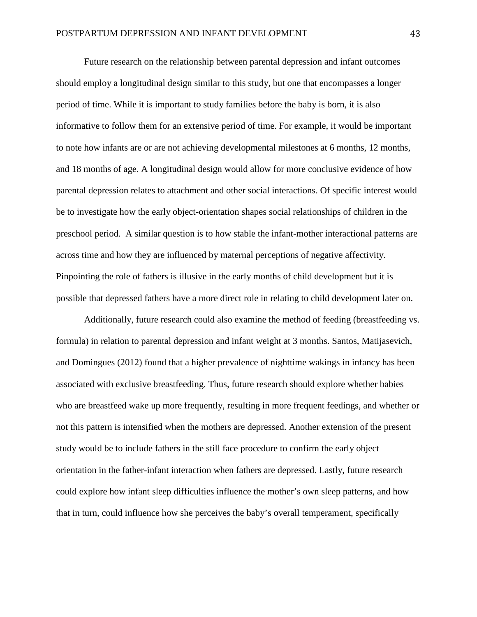Future research on the relationship between parental depression and infant outcomes should employ a longitudinal design similar to this study, but one that encompasses a longer period of time. While it is important to study families before the baby is born, it is also informative to follow them for an extensive period of time. For example, it would be important to note how infants are or are not achieving developmental milestones at 6 months, 12 months, and 18 months of age. A longitudinal design would allow for more conclusive evidence of how parental depression relates to attachment and other social interactions. Of specific interest would be to investigate how the early object-orientation shapes social relationships of children in the preschool period. A similar question is to how stable the infant-mother interactional patterns are across time and how they are influenced by maternal perceptions of negative affectivity. Pinpointing the role of fathers is illusive in the early months of child development but it is possible that depressed fathers have a more direct role in relating to child development later on.

Additionally, future research could also examine the method of feeding (breastfeeding vs. formula) in relation to parental depression and infant weight at 3 months. Santos, Matijasevich, and Domingues (2012) found that a higher prevalence of nighttime wakings in infancy has been associated with exclusive breastfeeding. Thus, future research should explore whether babies who are breastfeed wake up more frequently, resulting in more frequent feedings, and whether or not this pattern is intensified when the mothers are depressed. Another extension of the present study would be to include fathers in the still face procedure to confirm the early object orientation in the father-infant interaction when fathers are depressed. Lastly, future research could explore how infant sleep difficulties influence the mother's own sleep patterns, and how that in turn, could influence how she perceives the baby's overall temperament, specifically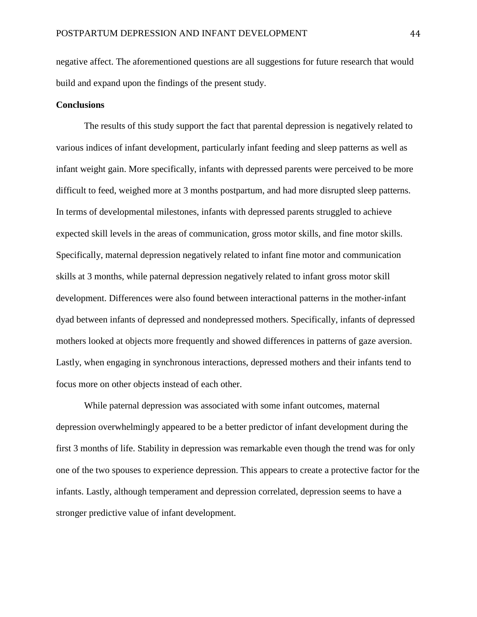negative affect. The aforementioned questions are all suggestions for future research that would build and expand upon the findings of the present study.

#### **Conclusions**

The results of this study support the fact that parental depression is negatively related to various indices of infant development, particularly infant feeding and sleep patterns as well as infant weight gain. More specifically, infants with depressed parents were perceived to be more difficult to feed, weighed more at 3 months postpartum, and had more disrupted sleep patterns. In terms of developmental milestones, infants with depressed parents struggled to achieve expected skill levels in the areas of communication, gross motor skills, and fine motor skills. Specifically, maternal depression negatively related to infant fine motor and communication skills at 3 months, while paternal depression negatively related to infant gross motor skill development. Differences were also found between interactional patterns in the mother-infant dyad between infants of depressed and nondepressed mothers. Specifically, infants of depressed mothers looked at objects more frequently and showed differences in patterns of gaze aversion. Lastly, when engaging in synchronous interactions, depressed mothers and their infants tend to focus more on other objects instead of each other.

While paternal depression was associated with some infant outcomes, maternal depression overwhelmingly appeared to be a better predictor of infant development during the first 3 months of life. Stability in depression was remarkable even though the trend was for only one of the two spouses to experience depression. This appears to create a protective factor for the infants. Lastly, although temperament and depression correlated, depression seems to have a stronger predictive value of infant development.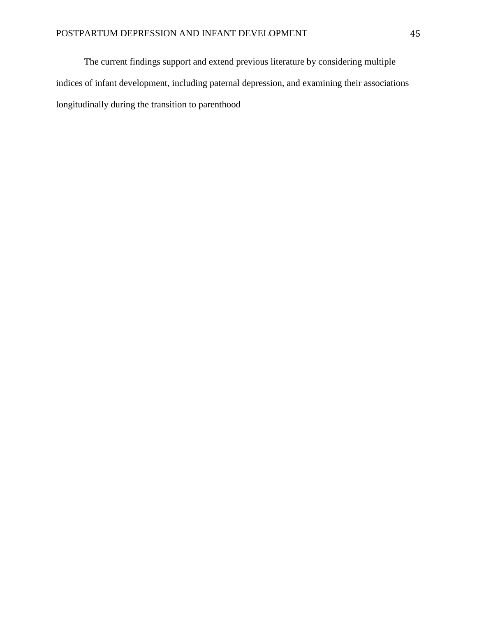The current findings support and extend previous literature by considering multiple indices of infant development, including paternal depression, and examining their associations longitudinally during the transition to parenthood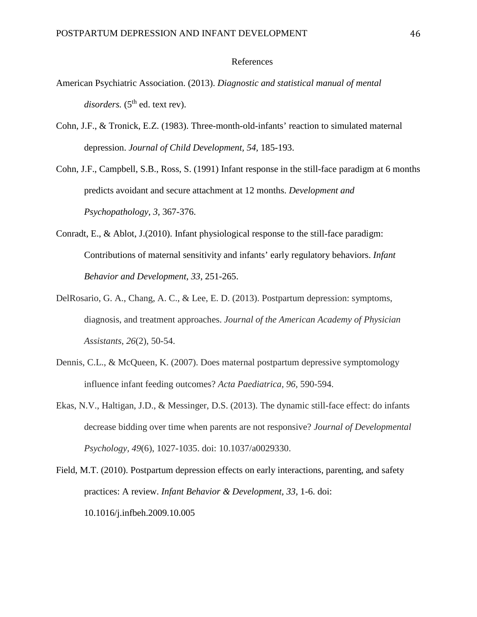#### References

- American Psychiatric Association. (2013). *Diagnostic and statistical manual of mental disorders.* (5<sup>th</sup> ed. text rev).
- Cohn, J.F., & Tronick, E.Z. (1983). Three-month-old-infants' reaction to simulated maternal depression. *Journal of Child Development, 54,* 185-193.

Cohn, J.F., Campbell, S.B., Ross, S. (1991) Infant response in the still-face paradigm at 6 months predicts avoidant and secure attachment at 12 months. *Development and Psychopathology, 3,* 367-376.

- Conradt, E., & Ablot, J.(2010). Infant physiological response to the still-face paradigm: Contributions of maternal sensitivity and infants' early regulatory behaviors. *Infant Behavior and Development, 33*, 251-265.
- DelRosario, G. A., Chang, A. C., & Lee, E. D. (2013). Postpartum depression: symptoms, diagnosis, and treatment approaches. *Journal of the American Academy of Physician Assistants*, *26*(2), 50-54.
- Dennis, C.L., & McQueen, K. (2007). Does maternal postpartum depressive symptomology influence infant feeding outcomes? *Acta Paediatrica, 96,* 590-594.
- Ekas, N.V., Haltigan, J.D., & Messinger, D.S. (2013). The dynamic still-face effect: do infants decrease bidding over time when parents are not responsive? *Journal of Developmental Psychology, 49*(6), 1027-1035. doi: 10.1037/a0029330.

Field, M.T. (2010). Postpartum depression effects on early interactions, parenting, and safety practices: A review. *Infant Behavior & Development, 33,* 1-6. doi: 10.1016/j.infbeh.2009.10.005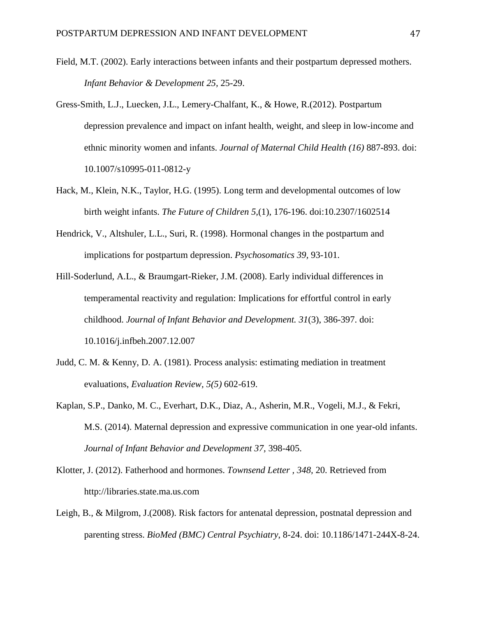- Field, M.T. (2002). Early interactions between infants and their postpartum depressed mothers. *Infant Behavior & Development 25,* 25-29.
- Gress-Smith, L.J., Luecken, J.L., Lemery-Chalfant, K., & Howe, R.(2012). Postpartum depression prevalence and impact on infant health, weight, and sleep in low-income and ethnic minority women and infants. *Journal of Maternal Child Health (16)* 887-893. doi: 10.1007/s10995-011-0812-y
- Hack, M., Klein, N.K., Taylor, H.G. (1995). Long term and developmental outcomes of low birth weight infants. *The Future of Children 5,*(1), 176-196. doi:10.2307/1602514
- Hendrick, V., Altshuler, L.L., Suri, R. (1998). Hormonal changes in the postpartum and implications for postpartum depression. *Psychosomatics 39,* 93-101.
- Hill-Soderlund, A.L., & Braumgart-Rieker, J.M. (2008). Early individual differences in temperamental reactivity and regulation: Implications for effortful control in early childhood. *Journal of Infant Behavior and Development. 31*(3), 386-397. doi: 10.1016/j.infbeh.2007.12.007
- Judd, C. M. & Kenny, D. A. (1981). Process analysis: estimating mediation in treatment evaluations, *Evaluation Review, 5(5)* 602-619.
- Kaplan, S.P., Danko, M. C., Everhart, D.K., Diaz, A., Asherin, M.R., Vogeli, M.J., & Fekri, M.S. (2014). Maternal depression and expressive communication in one year-old infants. *Journal of Infant Behavior and Development 37,* 398-405.
- Klotter, J. (2012). Fatherhood and hormones. *Townsend Letter , 348,* 20. Retrieved from http://libraries.state.ma.us.com
- Leigh, B., & Milgrom, J.(2008). Risk factors for antenatal depression, postnatal depression and parenting stress. *BioMed (BMC) Central Psychiatry*, 8-24. doi: 10.1186/1471-244X-8-24.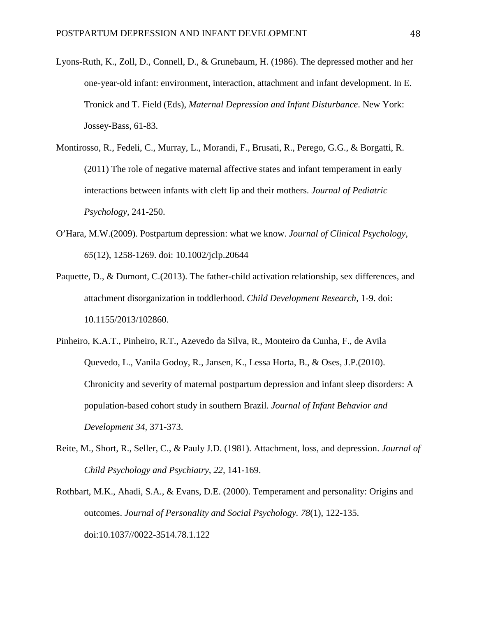- Lyons-Ruth, K., Zoll, D., Connell, D., & Grunebaum, H. (1986). The depressed mother and her one-year-old infant: environment, interaction, attachment and infant development. In E. Tronick and T. Field (Eds), *Maternal Depression and Infant Disturbance*. New York: Jossey-Bass, 61-83.
- Montirosso, R., Fedeli, C., Murray, L., Morandi, F., Brusati, R., Perego, G.G., & Borgatti, R. (2011) The role of negative maternal affective states and infant temperament in early interactions between infants with cleft lip and their mothers. *Journal of Pediatric Psychology,* 241-250.
- O'Hara, M.W.(2009). Postpartum depression: what we know. *Journal of Clinical Psychology, 65*(12), 1258-1269. doi: 10.1002/jclp.20644
- Paquette, D., & Dumont, C.(2013). The father-child activation relationship, sex differences, and attachment disorganization in toddlerhood. *Child Development Research,* 1-9. doi: 10.1155/2013/102860.
- Pinheiro, K.A.T., Pinheiro, R.T., Azevedo da Silva, R., Monteiro da Cunha, F., de Avila Quevedo, L., Vanila Godoy, R., Jansen, K., Lessa Horta, B., & Oses, J.P.(2010). Chronicity and severity of maternal postpartum depression and infant sleep disorders: A population-based cohort study in southern Brazil. *Journal of Infant Behavior and Development 34,* 371-373.
- Reite, M., Short, R., Seller, C., & Pauly J.D. (1981). Attachment, loss, and depression. *Journal of Child Psychology and Psychiatry, 22,* 141-169.
- Rothbart, M.K., Ahadi, S.A., & Evans, D.E. (2000). Temperament and personality: Origins and outcomes. *Journal of Personality and Social Psychology. 78*(1), 122-135. doi:10.1037//0022-3514.78.1.122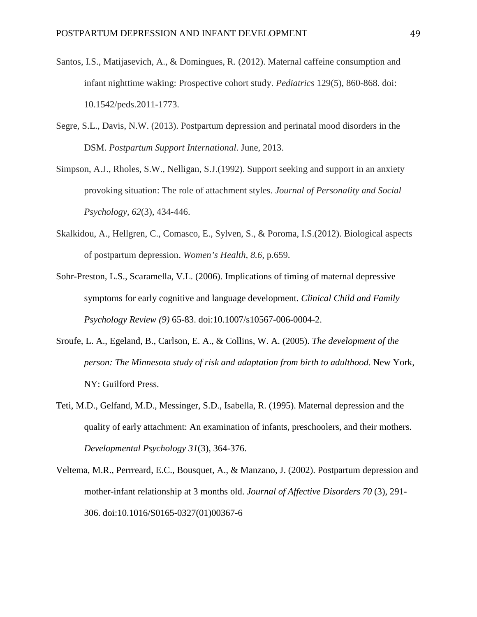- Santos, I.S., Matijasevich, A., & Domingues, R. (2012). Maternal caffeine consumption and infant nighttime waking: Prospective cohort study. *Pediatrics* 129(5), 860-868. doi: 10.1542/peds.2011-1773.
- Segre, S.L., Davis, N.W. (2013). Postpartum depression and perinatal mood disorders in the DSM. *Postpartum Support International*. June, 2013.
- Simpson, A.J., Rholes, S.W., Nelligan, S.J.(1992). Support seeking and support in an anxiety provoking situation: The role of attachment styles. *Journal of Personality and Social Psychology, 62*(3), 434-446.
- Skalkidou, A., Hellgren, C., Comasco, E., Sylven, S., & Poroma, I.S.(2012). Biological aspects of postpartum depression. *Women's Health, 8.6,* p.659.
- Sohr-Preston, L.S., Scaramella, V.L. (2006). Implications of timing of maternal depressive symptoms for early cognitive and language development. *Clinical Child and Family Psychology Review (9)* 65-83. doi:10.1007/s10567-006-0004-2.
- Sroufe, L. A., Egeland, B., Carlson, E. A., & Collins, W. A. (2005). *The development of the person: The Minnesota study of risk and adaptation from birth to adulthood*. New York, NY: Guilford Press.
- Teti, M.D., Gelfand, M.D., Messinger, S.D., Isabella, R. (1995). Maternal depression and the quality of early attachment: An examination of infants, preschoolers, and their mothers. *Developmental Psychology 31*(3), 364-376.
- Veltema, M.R., Perrreard, E.C., Bousquet, A., & Manzano, J. (2002). Postpartum depression and mother-infant relationship at 3 months old. *Journal of Affective Disorders 70* (3), 291- 306. doi:10.1016/S0165-0327(01)00367-6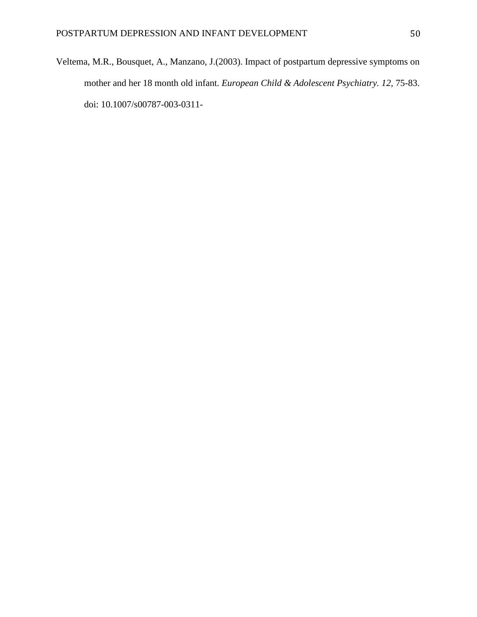Veltema, M.R., Bousquet, A., Manzano, J.(2003). Impact of postpartum depressive symptoms on mother and her 18 month old infant. *European Child & Adolescent Psychiatry. 12,* 75-83. doi: 10.1007/s00787-003-0311-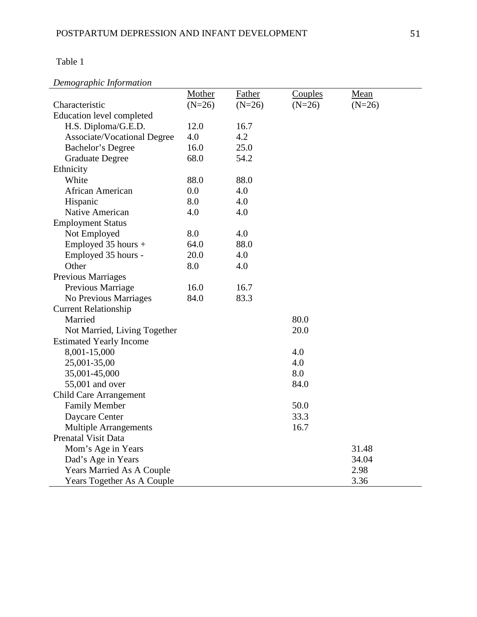# *Demographic Information*

|                                    | Mother   | <b>Father</b> | Couples  | Mean     |
|------------------------------------|----------|---------------|----------|----------|
| Characteristic                     | $(N=26)$ | $(N=26)$      | $(N=26)$ | $(N=26)$ |
| <b>Education level completed</b>   |          |               |          |          |
| H.S. Diploma/G.E.D.                | 12.0     | 16.7          |          |          |
| <b>Associate/Vocational Degree</b> | 4.0      | 4.2           |          |          |
| Bachelor's Degree                  | 16.0     | 25.0          |          |          |
| <b>Graduate Degree</b>             | 68.0     | 54.2          |          |          |
| Ethnicity                          |          |               |          |          |
| White                              | 88.0     | 88.0          |          |          |
| African American                   | 0.0      | 4.0           |          |          |
| Hispanic                           | 8.0      | 4.0           |          |          |
| Native American                    | 4.0      | 4.0           |          |          |
| <b>Employment Status</b>           |          |               |          |          |
| Not Employed                       | 8.0      | 4.0           |          |          |
| Employed 35 hours +                | 64.0     | 88.0          |          |          |
| Employed 35 hours -                | 20.0     | 4.0           |          |          |
| Other                              | 8.0      | 4.0           |          |          |
| Previous Marriages                 |          |               |          |          |
| Previous Marriage                  | 16.0     | 16.7          |          |          |
| No Previous Marriages              | 84.0     | 83.3          |          |          |
| <b>Current Relationship</b>        |          |               |          |          |
| Married                            |          |               | 80.0     |          |
| Not Married, Living Together       |          |               | 20.0     |          |
| <b>Estimated Yearly Income</b>     |          |               |          |          |
| 8,001-15,000                       |          |               | 4.0      |          |
| 25,001-35,00                       |          |               | 4.0      |          |
| 35,001-45,000                      |          |               | 8.0      |          |
| 55,001 and over                    |          |               | 84.0     |          |
| <b>Child Care Arrangement</b>      |          |               |          |          |
| <b>Family Member</b>               |          |               | 50.0     |          |
| Daycare Center                     |          |               | 33.3     |          |
| <b>Multiple Arrangements</b>       |          |               | 16.7     |          |
| <b>Prenatal Visit Data</b>         |          |               |          |          |
| Mom's Age in Years                 |          |               |          | 31.48    |
| Dad's Age in Years                 |          |               |          | 34.04    |
| <b>Years Married As A Couple</b>   |          |               |          | 2.98     |
| Years Together As A Couple         |          |               |          | 3.36     |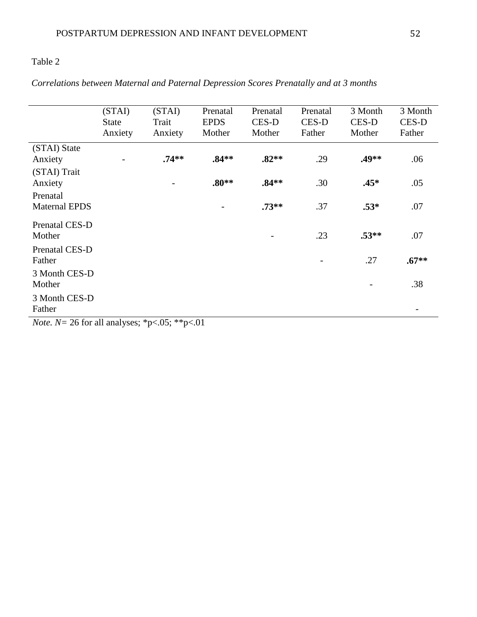## *Correlations between Maternal and Paternal Depression Scores Prenatally and at 3 months*

|                                                      | (STAI)<br><b>State</b><br>Anxiety         | (STAI)<br>Trait<br>Anxiety                       | Prenatal<br><b>EPDS</b><br>Mother | Prenatal<br>CES-D<br>Mother | Prenatal<br>CES-D<br>Father | 3 Month<br>CES-D<br>Mother | 3 Month<br>CES-D<br>Father |
|------------------------------------------------------|-------------------------------------------|--------------------------------------------------|-----------------------------------|-----------------------------|-----------------------------|----------------------------|----------------------------|
| (STAI) State<br>Anxiety                              |                                           | $.74**$                                          | $.84**$                           | $.82**$                     | .29                         | .49**                      | .06                        |
| (STAI) Trait<br>Anxiety                              |                                           | $\qquad \qquad \blacksquare$                     | $.80**$                           | $.84**$                     | .30                         | $.45*$                     | .05                        |
| Prenatal<br><b>Maternal EPDS</b>                     |                                           |                                                  |                                   | $.73**$                     | .37                         | $.53*$                     | .07                        |
| Prenatal CES-D<br>Mother                             |                                           |                                                  |                                   | $\overline{\phantom{a}}$    | .23                         | $.53**$                    | .07                        |
| Prenatal CES-D<br>Father                             |                                           |                                                  |                                   |                             |                             | .27                        | $.67**$                    |
| 3 Month CES-D<br>Mother                              |                                           |                                                  |                                   |                             |                             |                            | .38                        |
| 3 Month CES-D<br>Father<br>$\mathbf{r}$ $\mathbf{r}$ | $\mathbf{H}$<br><b><i><u>ALCO</u></i></b> | <b>STATISTICS</b><br>$\sim$ $\sim$ $\sim$ $\sim$ | $\sim$ $\sim$                     |                             |                             |                            |                            |

*Note. N* = 26 for all analyses; \*p<.05; \*\*p<.01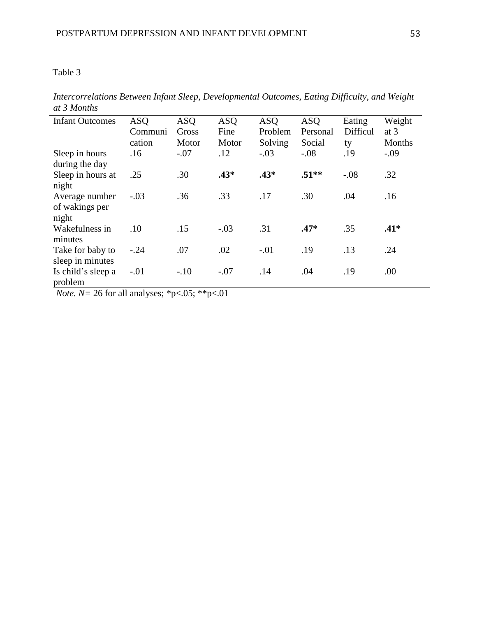| <b>Infant Outcomes</b>                    | <b>ASQ</b><br>Communi<br>cation | <b>ASQ</b><br>Gross<br>Motor | <b>ASQ</b><br>Fine<br>Motor | <b>ASQ</b><br>Problem<br>Solving | <b>ASQ</b><br>Personal<br>Social | Eating<br>Difficul<br>ty | Weight<br>at $3$<br>Months |
|-------------------------------------------|---------------------------------|------------------------------|-----------------------------|----------------------------------|----------------------------------|--------------------------|----------------------------|
| Sleep in hours<br>during the day          | .16                             | $-.07$                       | .12                         | $-.03$                           | $-.08$                           | .19                      | $-.09$                     |
| Sleep in hours at<br>night                | .25                             | .30                          | $.43*$                      | $.43*$                           | $.51**$                          | $-.08$                   | .32                        |
| Average number<br>of wakings per<br>night | $-.03$                          | .36                          | .33                         | .17                              | .30                              | .04                      | .16                        |
| Wakefulness in<br>minutes                 | .10                             | .15                          | $-.03$                      | .31                              | $.47*$                           | .35                      | $.41*$                     |
| Take for baby to<br>sleep in minutes      | $-.24$                          | .07                          | .02                         | $-.01$                           | .19                              | .13                      | .24                        |
| Is child's sleep a<br>problem             | $-.01$                          | $-.10$                       | $-.07$                      | .14                              | .04                              | .19                      | .00.                       |

*Intercorrelations Between Infant Sleep, Developmental Outcomes, Eating Difficulty, and Weight at 3 Months*

*Note. N=* 26 for all analyses; \*p<.05; \*\*p<.01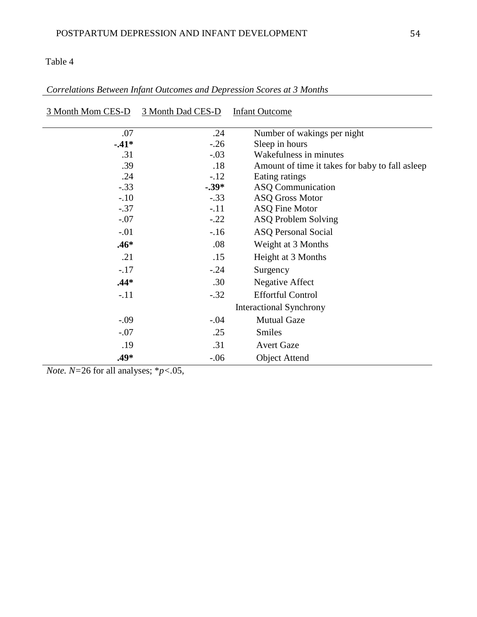| 3 Month Mom CES-D | 3 Month Dad CES-D | <b>Infant Outcome</b>                            |
|-------------------|-------------------|--------------------------------------------------|
|                   |                   |                                                  |
| .07               | .24               | Number of wakings per night                      |
| $-41*$            | $-.26$            | Sleep in hours                                   |
| .31               | $-.03$            | Wakefulness in minutes                           |
| .39               | .18               | Amount of time it takes for baby to fall as leep |
| .24               | $-12$             | Eating ratings                                   |
| $-.33$            | $-.39*$           | ASQ Communication                                |
| $-.10$            | $-.33$            | <b>ASQ Gross Motor</b>                           |
| $-.37$            | $-.11$            | <b>ASQ Fine Motor</b>                            |
| $-.07$            | $-.22$            | ASQ Problem Solving                              |
| $-.01$            | $-16$             | <b>ASQ Personal Social</b>                       |
| $.46*$            | .08               | Weight at 3 Months                               |
| .21               | .15               | Height at 3 Months                               |
| $-.17$            | $-.24$            | Surgency                                         |
| $.44*$            | .30               | <b>Negative Affect</b>                           |
| $-.11$            | $-.32$            | <b>Effortful Control</b>                         |
|                   |                   | <b>Interactional Synchrony</b>                   |
| $-0.09$           | $-.04$            | <b>Mutual Gaze</b>                               |
| $-.07$            | .25               | <b>Smiles</b>                                    |
| .19               | .31               | <b>Avert Gaze</b>                                |
| .49*              | $-.06$            | <b>Object Attend</b>                             |

| Correlations Between Infant Outcomes and Depression Scores at 3 Months |  |  |  |
|------------------------------------------------------------------------|--|--|--|
|------------------------------------------------------------------------|--|--|--|

*Note. N=*26 for all analyses; \**p<.*05,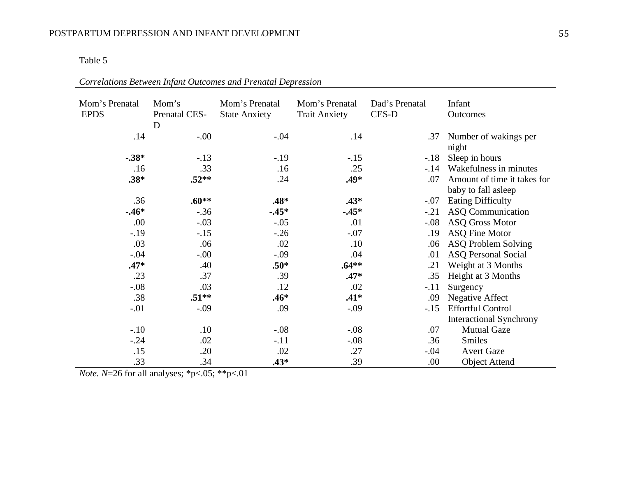| Mom's Prenatal<br><b>EPDS</b> | Mom's<br>Prenatal CES-<br>D | Mom's Prenatal<br><b>State Anxiety</b> | Mom's Prenatal<br><b>Trait Anxiety</b> | Dad's Prenatal<br>CES-D | Infant<br>Outcomes             |
|-------------------------------|-----------------------------|----------------------------------------|----------------------------------------|-------------------------|--------------------------------|
| .14                           | $-.00$                      | $-.04$                                 | .14                                    | .37                     | Number of wakings per          |
|                               |                             |                                        |                                        |                         | night                          |
| $-.38*$                       | $-.13$                      | $-.19$                                 | $-.15$                                 | $-.18$                  | Sleep in hours                 |
| .16                           | .33                         | .16                                    | .25                                    | $-.14$                  | Wakefulness in minutes         |
| $.38*$                        | $.52**$                     | .24                                    | .49*                                   | .07                     | Amount of time it takes for    |
|                               |                             |                                        |                                        |                         | baby to fall asleep            |
| .36                           | $.60**$                     | $.48*$                                 | $.43*$                                 | $-.07$                  | <b>Eating Difficulty</b>       |
| $-46*$                        | $-.36$                      | $-45*$                                 | $-45*$                                 | $-.21$                  | <b>ASQ Communication</b>       |
| .00                           | $-.03$                      | $-.05$                                 | .01                                    | $-.08$                  | <b>ASQ Gross Motor</b>         |
| $-.19$                        | $-.15$                      | $-.26$                                 | $-.07$                                 | .19                     | <b>ASQ Fine Motor</b>          |
| .03                           | .06                         | .02                                    | .10                                    | .06                     | ASQ Problem Solving            |
| $-.04$                        | $-.00$                      | $-.09$                                 | .04                                    | .01                     | <b>ASQ Personal Social</b>     |
| $.47*$                        | .40                         | $.50*$                                 | $.64**$                                | .21                     | Weight at 3 Months             |
| .23                           | .37                         | .39                                    | $.47*$                                 | .35                     | Height at 3 Months             |
| $-.08$                        | .03                         | .12                                    | .02                                    | $-.11$                  | Surgency                       |
| .38                           | $.51**$                     | $.46*$                                 | $.41*$                                 | .09                     | <b>Negative Affect</b>         |
| $-.01$                        | $-.09$                      | .09                                    | $-.09$                                 | $-15$                   | <b>Effortful Control</b>       |
|                               |                             |                                        |                                        |                         | <b>Interactional Synchrony</b> |
| $-.10$                        | .10                         | $-.08$                                 | $-.08$                                 | .07                     | <b>Mutual Gaze</b>             |
| $-.24$                        | .02                         | $-.11$                                 | $-.08$                                 | .36                     | Smiles                         |
| .15                           | .20                         | .02                                    | .27                                    | $-.04$                  | <b>Avert Gaze</b>              |
| .33                           | .34                         | $.43*$                                 | .39                                    | .00                     | <b>Object Attend</b>           |

*Correlations Between Infant Outcomes and Prenatal Depression*

*Note. N*=26 for all analyses; \*p<.05; \*\*p<.01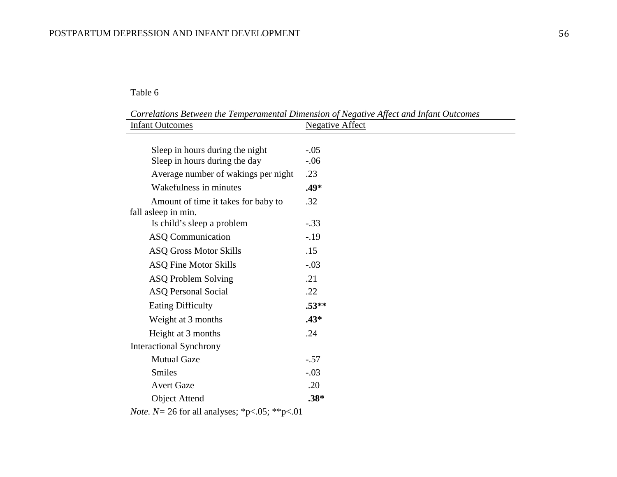$\overline{a}$ 

*Correlations Between the Temperamental Dimension of Negative Affect and Infant Outcomes*

| <b>Infant Outcomes</b> |                                                                  | <b>Negative Affect</b> |
|------------------------|------------------------------------------------------------------|------------------------|
|                        |                                                                  |                        |
|                        | Sleep in hours during the night<br>Sleep in hours during the day | $-.05$<br>$-.06$       |
|                        | Average number of wakings per night                              | .23                    |
|                        | Wakefulness in minutes                                           | $.49*$                 |
|                        | Amount of time it takes for baby to                              | .32                    |
|                        | fall asleep in min.                                              |                        |
|                        | Is child's sleep a problem                                       | $-.33$                 |
|                        | <b>ASQ Communication</b>                                         | $-19$                  |
|                        | <b>ASQ Gross Motor Skills</b>                                    | .15                    |
|                        | <b>ASQ Fine Motor Skills</b>                                     | $-.03$                 |
|                        | <b>ASQ Problem Solving</b>                                       | .21                    |
|                        | <b>ASQ Personal Social</b>                                       | .22                    |
|                        | <b>Eating Difficulty</b>                                         | $.53**$                |
|                        | Weight at 3 months                                               | $.43*$                 |
|                        | Height at 3 months                                               | .24                    |
|                        | <b>Interactional Synchrony</b>                                   |                        |
|                        | <b>Mutual Gaze</b>                                               | $-.57$                 |
|                        | <b>Smiles</b>                                                    | $-.03$                 |
|                        | <b>Avert Gaze</b>                                                | .20                    |
|                        | <b>Object Attend</b>                                             | $.38*$                 |

*Note. N* = 26 for all analyses; \*p<.05; \*\*p<.01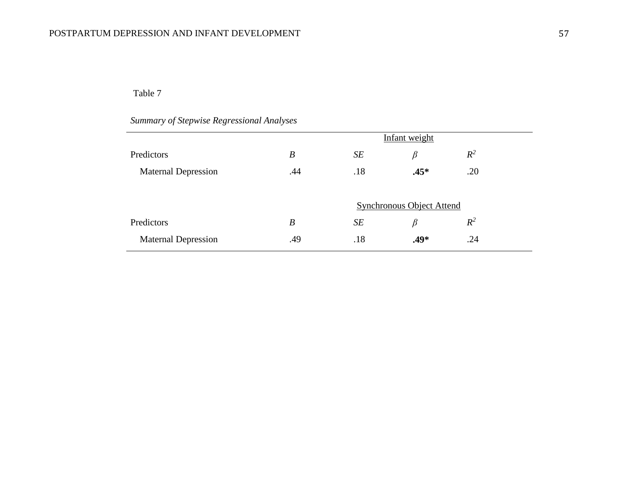### Table 7

# *Summary of Stepwise Regressional Analyses*

|                            | Infant weight    |     |                                  |       |  |
|----------------------------|------------------|-----|----------------------------------|-------|--|
| Predictors                 | $\boldsymbol{B}$ | SE  | β                                | $R^2$ |  |
| <b>Maternal Depression</b> | .44              | .18 | $.45*$                           | .20   |  |
|                            |                  |     |                                  |       |  |
|                            |                  |     | <b>Synchronous Object Attend</b> |       |  |
| Predictors                 | $\boldsymbol{B}$ | SE  | β                                | $R^2$ |  |
| <b>Maternal Depression</b> | .49              | .18 | $.49*$                           | .24   |  |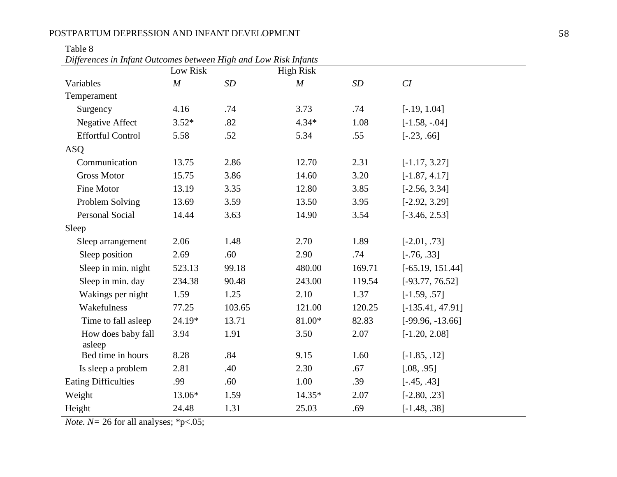### Table 8

| Differences in Infant Outcomes between High and Low Risk Infants |  |  |  |  |  |
|------------------------------------------------------------------|--|--|--|--|--|
|                                                                  |  |  |  |  |  |

| Differences in Infant Outcomes between IItzh ana Low Itish Infantis | Low Risk |        | <b>High Risk</b> |        |                    |
|---------------------------------------------------------------------|----------|--------|------------------|--------|--------------------|
| Variables                                                           | M        | SD     | $\boldsymbol{M}$ | SD     | CI                 |
| Temperament                                                         |          |        |                  |        |                    |
| Surgency                                                            | 4.16     | .74    | 3.73             | .74    | $[-.19, 1.04]$     |
| <b>Negative Affect</b>                                              | $3.52*$  | .82    | $4.34*$          | 1.08   | $[-1.58, -.04]$    |
| <b>Effortful Control</b>                                            | 5.58     | .52    | 5.34             | .55    | $[-.23, .66]$      |
| <b>ASQ</b>                                                          |          |        |                  |        |                    |
| Communication                                                       | 13.75    | 2.86   | 12.70            | 2.31   | $[-1.17, 3.27]$    |
| <b>Gross Motor</b>                                                  | 15.75    | 3.86   | 14.60            | 3.20   | $[-1.87, 4.17]$    |
| Fine Motor                                                          | 13.19    | 3.35   | 12.80            | 3.85   | $[-2.56, 3.34]$    |
| Problem Solving                                                     | 13.69    | 3.59   | 13.50            | 3.95   | $[-2.92, 3.29]$    |
| <b>Personal Social</b>                                              | 14.44    | 3.63   | 14.90            | 3.54   | $[-3.46, 2.53]$    |
| Sleep                                                               |          |        |                  |        |                    |
| Sleep arrangement                                                   | 2.06     | 1.48   | 2.70             | 1.89   | $[-2.01, .73]$     |
| Sleep position                                                      | 2.69     | .60    | 2.90             | .74    | $[-.76, .33]$      |
| Sleep in min. night                                                 | 523.13   | 99.18  | 480.00           | 169.71 | $[-65.19, 151.44]$ |
| Sleep in min. day                                                   | 234.38   | 90.48  | 243.00           | 119.54 | $[-93.77, 76.52]$  |
| Wakings per night                                                   | 1.59     | 1.25   | 2.10             | 1.37   | $[-1.59, .57]$     |
| Wakefulness                                                         | 77.25    | 103.65 | 121.00           | 120.25 | $[-135.41, 47.91]$ |
| Time to fall asleep                                                 | 24.19*   | 13.71  | 81.00*           | 82.83  | $[-99.96, -13.66]$ |
| How does baby fall<br>asleep                                        | 3.94     | 1.91   | 3.50             | 2.07   | $[-1.20, 2.08]$    |
| Bed time in hours                                                   | 8.28     | .84    | 9.15             | 1.60   | $[-1.85, .12]$     |
| Is sleep a problem                                                  | 2.81     | .40    | 2.30             | .67    | [.08, .95]         |
| <b>Eating Difficulties</b>                                          | .99      | .60    | 1.00             | .39    | $[-.45, .43]$      |
| Weight                                                              | 13.06*   | 1.59   | $14.35*$         | 2.07   | $[-2.80, .23]$     |
| Height                                                              | 24.48    | 1.31   | 25.03            | .69    | $[-1.48, .38]$     |

*Note. N* = 26 for all analyses; \*p<.05;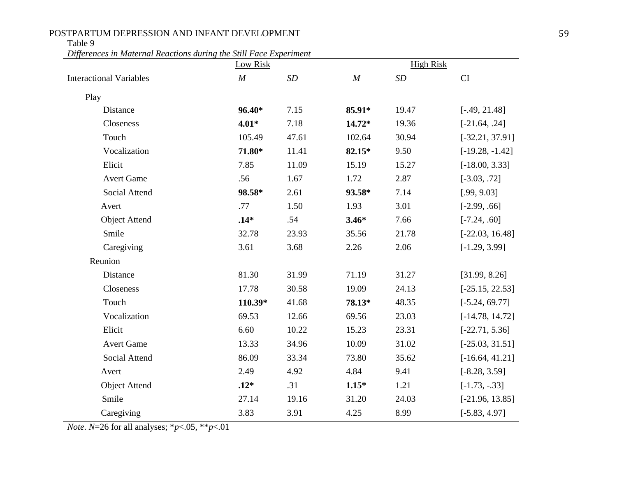### Table 9

*Differences in Maternal Reactions during the Still Face Experiment*

|                                | <b>Low Risk</b> |           |          | <b>High Risk</b> |                   |  |  |
|--------------------------------|-----------------|-----------|----------|------------------|-------------------|--|--|
| <b>Interactional Variables</b> | $\cal M$        | $\cal SD$ | $\cal M$ | $\cal SD$        | CI                |  |  |
| Play                           |                 |           |          |                  |                   |  |  |
| Distance                       | 96.40*          | 7.15      | 85.91*   | 19.47            | $[-.49, 21.48]$   |  |  |
| Closeness                      | $4.01*$         | 7.18      | 14.72*   | 19.36            | $[-21.64, .24]$   |  |  |
| Touch                          | 105.49          | 47.61     | 102.64   | 30.94            | $[-32.21, 37.91]$ |  |  |
| Vocalization                   | 71.80*          | 11.41     | 82.15*   | 9.50             | $[-19.28, -1.42]$ |  |  |
| Elicit                         | 7.85            | 11.09     | 15.19    | 15.27            | $[-18.00, 3.33]$  |  |  |
| <b>Avert Game</b>              | .56             | 1.67      | 1.72     | 2.87             | $[-3.03, .72]$    |  |  |
| Social Attend                  | 98.58*          | 2.61      | 93.58*   | 7.14             | [.99, 9.03]       |  |  |
| Avert                          | .77             | 1.50      | 1.93     | 3.01             | $[-2.99, .66]$    |  |  |
| <b>Object Attend</b>           | $.14*$          | .54       | $3.46*$  | 7.66             | $[-7.24, .60]$    |  |  |
| Smile                          | 32.78           | 23.93     | 35.56    | 21.78            | $[-22.03, 16.48]$ |  |  |
| Caregiving                     | 3.61            | 3.68      | 2.26     | 2.06             | $[-1.29, 3.99]$   |  |  |
| Reunion                        |                 |           |          |                  |                   |  |  |
| Distance                       | 81.30           | 31.99     | 71.19    | 31.27            | [31.99, 8.26]     |  |  |
| Closeness                      | 17.78           | 30.58     | 19.09    | 24.13            | $[-25.15, 22.53]$ |  |  |
| Touch                          | 110.39*         | 41.68     | 78.13*   | 48.35            | $[-5.24, 69.77]$  |  |  |
| Vocalization                   | 69.53           | 12.66     | 69.56    | 23.03            | $[-14.78, 14.72]$ |  |  |
| Elicit                         | 6.60            | 10.22     | 15.23    | 23.31            | $[-22.71, 5.36]$  |  |  |
| <b>Avert Game</b>              | 13.33           | 34.96     | 10.09    | 31.02            | $[-25.03, 31.51]$ |  |  |
| Social Attend                  | 86.09           | 33.34     | 73.80    | 35.62            | $[-16.64, 41.21]$ |  |  |
| Avert                          | 2.49            | 4.92      | 4.84     | 9.41             | $[-8.28, 3.59]$   |  |  |
| <b>Object Attend</b>           | $.12*$          | .31       | $1.15*$  | 1.21             | $[-1.73, -.33]$   |  |  |
| Smile                          | 27.14           | 19.16     | 31.20    | 24.03            | $[-21.96, 13.85]$ |  |  |
| Caregiving                     | 3.83            | 3.91      | 4.25     | 8.99             | $[-5.83, 4.97]$   |  |  |

*Note. N*=26 for all analyses; \**p*<.05, \*\**p*<.01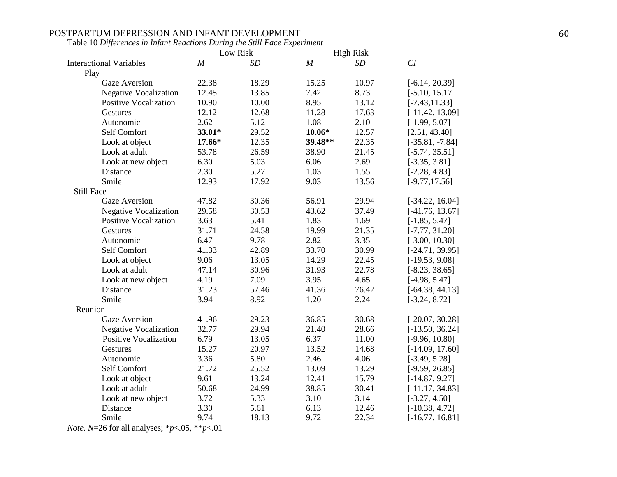|                                | Low Risk         |       | <b>High Risk</b> |       |                   |
|--------------------------------|------------------|-------|------------------|-------|-------------------|
| <b>Interactional Variables</b> | $\boldsymbol{M}$ | SD    | M                | SD    | CI                |
| Play                           |                  |       |                  |       |                   |
| <b>Gaze Aversion</b>           | 22.38            | 18.29 | 15.25            | 10.97 | $[-6.14, 20.39]$  |
| <b>Negative Vocalization</b>   | 12.45            | 13.85 | 7.42             | 8.73  | $[-5.10, 15.17]$  |
| <b>Positive Vocalization</b>   | 10.90            | 10.00 | 8.95             | 13.12 | $[-7.43, 11.33]$  |
| Gestures                       | 12.12            | 12.68 | 11.28            | 17.63 | $[-11.42, 13.09]$ |
| Autonomic                      | 2.62             | 5.12  | 1.08             | 2.10  | $[-1.99, 5.07]$   |
| Self Comfort                   | 33.01*           | 29.52 | $10.06*$         | 12.57 | [2.51, 43.40]     |
| Look at object                 | $17.66*$         | 12.35 | 39.48**          | 22.35 | $[-35.81, -7.84]$ |
| Look at adult                  | 53.78            | 26.59 | 38.90            | 21.45 | $[-5.74, 35.51]$  |
| Look at new object             | 6.30             | 5.03  | 6.06             | 2.69  | $[-3.35, 3.81]$   |
| Distance                       | 2.30             | 5.27  | 1.03             | 1.55  | $[-2.28, 4.83]$   |
| Smile                          | 12.93            | 17.92 | 9.03             | 13.56 | $[-9.77, 17.56]$  |
| <b>Still Face</b>              |                  |       |                  |       |                   |
| Gaze Aversion                  | 47.82            | 30.36 | 56.91            | 29.94 | $[-34.22, 16.04]$ |
| <b>Negative Vocalization</b>   | 29.58            | 30.53 | 43.62            | 37.49 | $[-41.76, 13.67]$ |
| <b>Positive Vocalization</b>   | 3.63             | 5.41  | 1.83             | 1.69  | $[-1.85, 5.47]$   |
| Gestures                       | 31.71            | 24.58 | 19.99            | 21.35 | $[-7.77, 31.20]$  |
| Autonomic                      | 6.47             | 9.78  | 2.82             | 3.35  | $[-3.00, 10.30]$  |
| Self Comfort                   | 41.33            | 42.89 | 33.70            | 30.99 | $[-24.71, 39.95]$ |
| Look at object                 | 9.06             | 13.05 | 14.29            | 22.45 | $[-19.53, 9.08]$  |
| Look at adult                  | 47.14            | 30.96 | 31.93            | 22.78 | $[-8.23, 38.65]$  |
| Look at new object             | 4.19             | 7.09  | 3.95             | 4.65  | $[-4.98, 5.47]$   |
| Distance                       | 31.23            | 57.46 | 41.36            | 76.42 | $[-64.38, 44.13]$ |
| Smile                          | 3.94             | 8.92  | 1.20             | 2.24  | $[-3.24, 8.72]$   |
| Reunion                        |                  |       |                  |       |                   |
| <b>Gaze Aversion</b>           | 41.96            | 29.23 | 36.85            | 30.68 | $[-20.07, 30.28]$ |
| <b>Negative Vocalization</b>   | 32.77            | 29.94 | 21.40            | 28.66 | $[-13.50, 36.24]$ |
| <b>Positive Vocalization</b>   | 6.79             | 13.05 | 6.37             | 11.00 | $[-9.96, 10.80]$  |
| Gestures                       | 15.27            | 20.97 | 13.52            | 14.68 | $[-14.09, 17.60]$ |
| Autonomic                      | 3.36             | 5.80  | 2.46             | 4.06  | $[-3.49, 5.28]$   |
| Self Comfort                   | 21.72            | 25.52 | 13.09            | 13.29 | $[-9.59, 26.85]$  |
| Look at object                 | 9.61             | 13.24 | 12.41            | 15.79 | $[-14.87, 9.27]$  |
| Look at adult                  | 50.68            | 24.99 | 38.85            | 30.41 | $[-11.17, 34.83]$ |
| Look at new object             | 3.72             | 5.33  | 3.10             | 3.14  | $[-3.27, 4.50]$   |
| Distance                       | 3.30             | 5.61  | 6.13             | 12.46 | $[-10.38, 4.72]$  |
| Smile                          | 9.74             | 18.13 | 9.72             | 22.34 | $[-16.77, 16.81]$ |

Table 10 *Differences in Infant Reactions During the Still Face Experiment* 

*Note. N*=26 for all analyses; \**p*<.05, \*\**p*<.01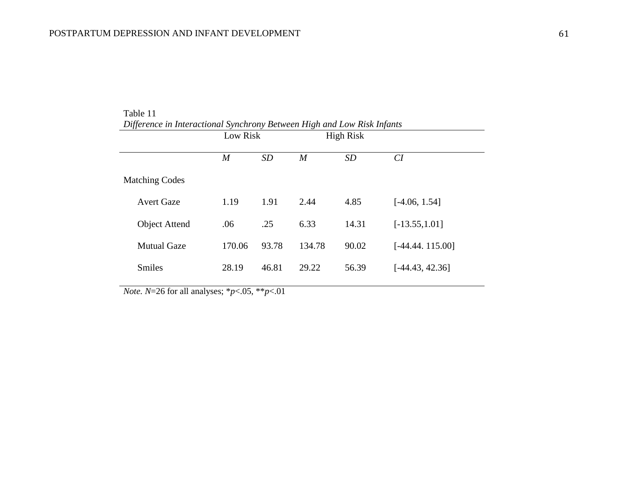|                       |        | Low Risk  |                  | <b>High Risk</b> |                   |
|-----------------------|--------|-----------|------------------|------------------|-------------------|
|                       | M      | <b>SD</b> | $\boldsymbol{M}$ | <b>SD</b>        | CI                |
| <b>Matching Codes</b> |        |           |                  |                  |                   |
| <b>Avert Gaze</b>     | 1.19   | 1.91      | 2.44             | 4.85             | $[-4.06, 1.54]$   |
| <b>Object Attend</b>  | .06    | .25       | 6.33             | 14.31            | $[-13.55, 1.01]$  |
| <b>Mutual Gaze</b>    | 170.06 | 93.78     | 134.78           | 90.02            | $[-44.44.115.00]$ |
| <b>Smiles</b>         | 28.19  | 46.81     | 29.22            | 56.39            | $[-44.43, 42.36]$ |
|                       |        |           |                  |                  |                   |

Table 11 *Difference in Interactional Synchrony Between High and Low Risk Infants*

*Note. N*=26 for all analyses; \**p*<.05, \*\**p*<.01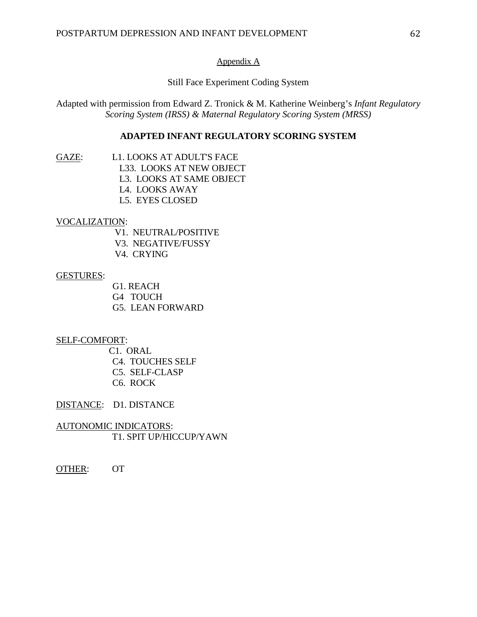#### Appendix A

Still Face Experiment Coding System

Adapted with permission from Edward Z. Tronick & M. Katherine Weinberg's *Infant Regulatory Scoring System (IRSS) & Maternal Regulatory Scoring System (MRSS)*

### **ADAPTED INFANT REGULATORY SCORING SYSTEM**

- 
- GAZE: L1. LOOKS AT ADULT'S FACE
	- L33. LOOKS AT NEW OBJECT
	- L3. LOOKS AT SAME OBJECT
	- L4. LOOKS AWAY
	- L5. EYES CLOSED

### VOCALIZATION:

- V1. NEUTRAL/POSITIVE
- V3. NEGATIVE/FUSSY
- V4. CRYING

#### GESTURES:

- G1. REACH
- G4 TOUCH
- G5. LEAN FORWARD

#### SELF-COMFORT:

C1. ORAL

- C4. TOUCHES SELF
- C5. SELF-CLASP
- C6. ROCK

DISTANCE: D1. DISTANCE

AUTONOMIC INDICATORS: T1. SPIT UP/HICCUP/YAWN

OTHER: OT